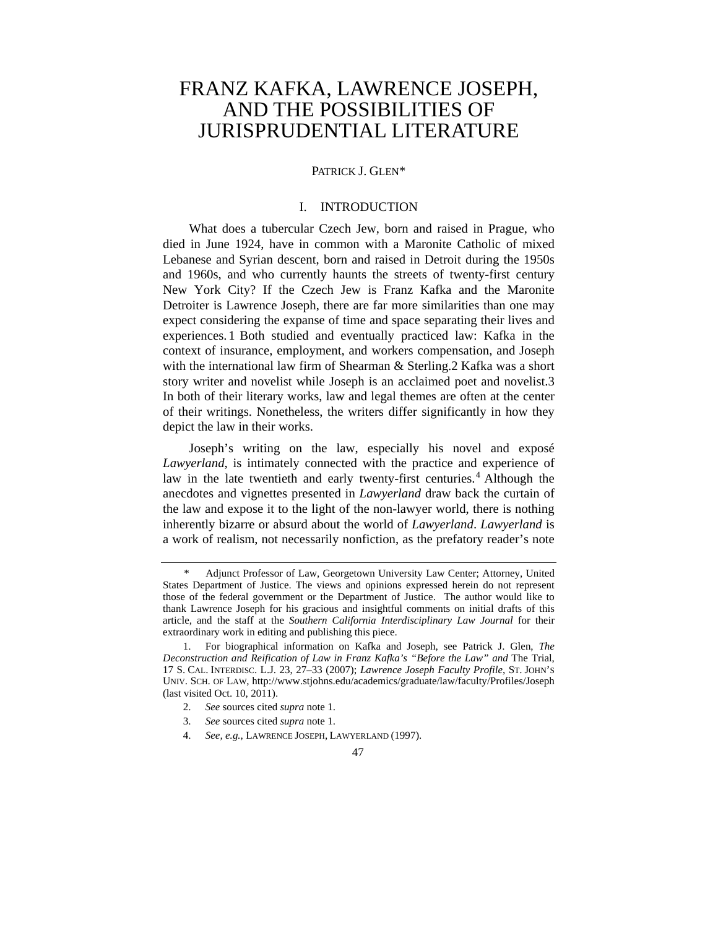# FRANZ KAFKA, LAWRENCE JOSEPH, AND THE POSSIBILITIES OF JURISPRUDENTIAL LITERATURE

#### PATRICK **J. GLEN\***

# I. INTRODUCTION

What does a tubercular Czech Jew, born and raised in Prague, who died in June 1924, have in common with a Maronite Catholic of mixed Lebanese and Syrian descent, born and raised in Detroit during the 1950s and 1960s, and who currently haunts the streets of twenty-first century New York City? If the Czech Jew is Franz Kafka and the Maronite Detroiter is Lawrence Joseph, there are far more similarities than one may expect considering the expanse of time and space separating their lives and experiences. 1 Both studied and eventually practiced law: Kafka in the context of insurance, employment, and workers compensation, and Joseph with the international law firm of Shearman & Sterling.2 Kafka was a short story writer and novelist while Joseph is an acclaimed poet and novelist.3 In both of their literary works, law and legal themes are often at the center of their writings. Nonetheless, the writers differ significantly in how they depict the law in their works.

Joseph's writing on the law, especially his novel and exposé *Lawyerland*, is intimately connected with the practice and experience of law in the late twentieth and early twenty-first centuries.<sup>4</sup> Although the anecdotes and vignettes presented in *Lawyerland* draw back the curtain of the law and expose it to the light of the non-lawyer world, there is nothing inherently bizarre or absurd about the world of *Lawyerland*. *Lawyerland* is a work of realism, not necessarily nonfiction, as the prefatory reader's note

<sup>\*</sup> Adjunct Professor of Law, Georgetown University Law Center; Attorney, United States Department of Justice. The views and opinions expressed herein do not represent those of the federal government or the Department of Justice. The author would like to thank Lawrence Joseph for his gracious and insightful comments on initial drafts of this article, and the staff at the *Southern California Interdisciplinary Law Journal* for their extraordinary work in editing and publishing this piece.

 <sup>1.</sup> For biographical information on Kafka and Joseph, see Patrick J. Glen, *The Deconstruction and Reification of Law in Franz Kafka's "Before the Law" and* The Trial, 17 S. CAL. INTERDISC. L.J. 23, 27–33 (2007); *Lawrence Joseph Faculty Profile*, ST. JOHN'S UNIV. SCH. OF LAW, http://www.stjohns.edu/academics/graduate/law/faculty/Profiles/Joseph (last visited Oct. 10, 2011).

 <sup>2.</sup> *See* sources cited *supra* note 1.

 <sup>3.</sup> *See* sources cited *supra* note 1.

 <sup>4.</sup> *See, e.g.*, LAWRENCE JOSEPH, LAWYERLAND (1997).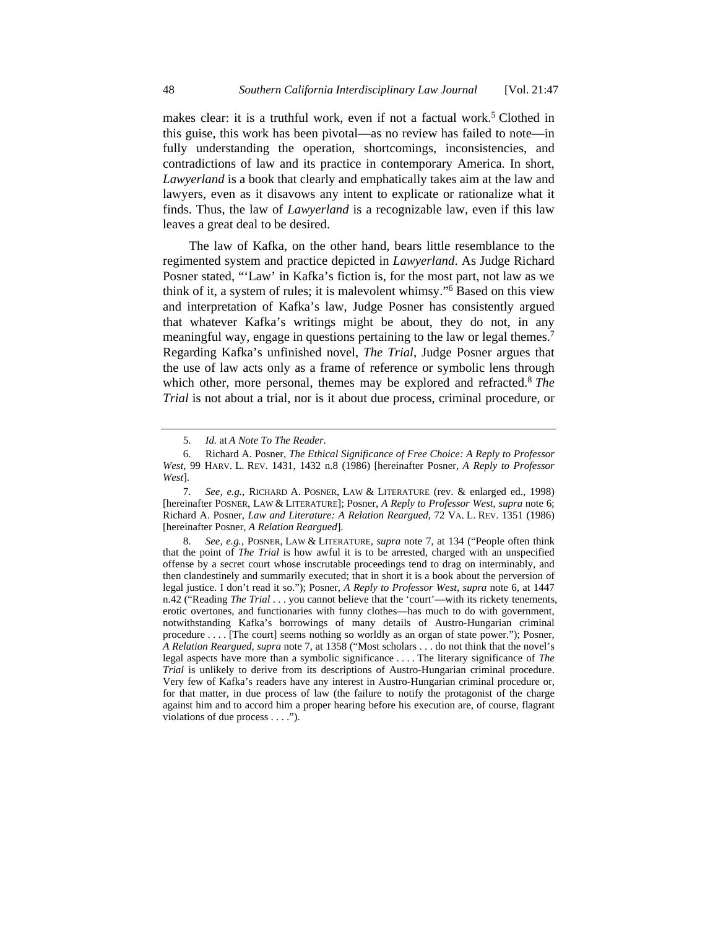makes clear: it is a truthful work, even if not a factual work.<sup>5</sup> Clothed in this guise, this work has been pivotal—as no review has failed to note—in fully understanding the operation, shortcomings, inconsistencies, and contradictions of law and its practice in contemporary America. In short, *Lawyerland* is a book that clearly and emphatically takes aim at the law and lawyers, even as it disavows any intent to explicate or rationalize what it finds. Thus, the law of *Lawyerland* is a recognizable law, even if this law leaves a great deal to be desired.

The law of Kafka, on the other hand, bears little resemblance to the regimented system and practice depicted in *Lawyerland*. As Judge Richard Posner stated, "'Law' in Kafka's fiction is, for the most part, not law as we think of it, a system of rules; it is malevolent whimsy."6 Based on this view and interpretation of Kafka's law, Judge Posner has consistently argued that whatever Kafka's writings might be about, they do not, in any meaningful way, engage in questions pertaining to the law or legal themes.<sup>7</sup> Regarding Kafka's unfinished novel, *The Trial*, Judge Posner argues that the use of law acts only as a frame of reference or symbolic lens through which other, more personal, themes may be explored and refracted.<sup>8</sup> *The Trial* is not about a trial, nor is it about due process, criminal procedure, or

 <sup>5.</sup> *Id.* at *A Note To The Reader*.

 <sup>6.</sup> Richard A. Posner, *The Ethical Significance of Free Choice: A Reply to Professor West*, 99 HARV. L. REV. 1431, 1432 n.8 (1986) [hereinafter Posner, *A Reply to Professor West*].

 <sup>7.</sup> *See, e.g.*, RICHARD A. POSNER, LAW & LITERATURE (rev. & enlarged ed., 1998) [hereinafter POSNER, LAW & LITERATURE]; Posner, *A Reply to Professor West*, *supra* note 6; Richard A. Posner, *Law and Literature: A Relation Reargued*, 72 VA. L. REV. 1351 (1986) [hereinafter Posner, *A Relation Reargued*].

 <sup>8.</sup> *See, e.g.*, POSNER, LAW & LITERATURE, *supra* note 7, at 134 ("People often think that the point of *The Trial* is how awful it is to be arrested, charged with an unspecified offense by a secret court whose inscrutable proceedings tend to drag on interminably, and then clandestinely and summarily executed; that in short it is a book about the perversion of legal justice. I don't read it so."); Posner, *A Reply to Professor West*, *supra* note 6, at 1447 n.42 ("Reading *The Trial* . . . you cannot believe that the 'court'—with its rickety tenements, erotic overtones, and functionaries with funny clothes—has much to do with government, notwithstanding Kafka's borrowings of many details of Austro-Hungarian criminal procedure . . . . [The court] seems nothing so worldly as an organ of state power."); Posner, *A Relation Reargued*, *supra* note 7, at 1358 ("Most scholars . . . do not think that the novel's legal aspects have more than a symbolic significance . . . . The literary significance of *The Trial* is unlikely to derive from its descriptions of Austro-Hungarian criminal procedure. Very few of Kafka's readers have any interest in Austro-Hungarian criminal procedure or, for that matter, in due process of law (the failure to notify the protagonist of the charge against him and to accord him a proper hearing before his execution are, of course, flagrant violations of due process . . . .").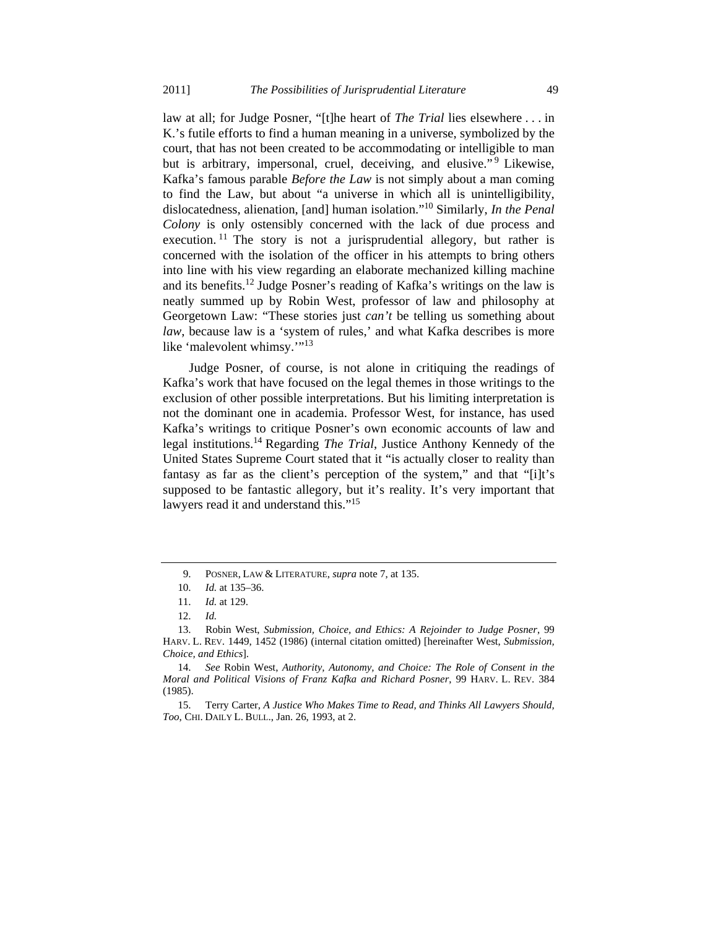law at all; for Judge Posner, "[t]he heart of *The Trial* lies elsewhere . . . in K.'s futile efforts to find a human meaning in a universe, symbolized by the court, that has not been created to be accommodating or intelligible to man but is arbitrary, impersonal, cruel, deceiving, and elusive."<sup>9</sup> Likewise, Kafka's famous parable *Before the Law* is not simply about a man coming to find the Law, but about "a universe in which all is unintelligibility, dislocatedness, alienation, [and] human isolation."10 Similarly, *In the Penal Colony* is only ostensibly concerned with the lack of due process and execution. <sup>11</sup> The story is not a jurisprudential allegory, but rather is concerned with the isolation of the officer in his attempts to bring others into line with his view regarding an elaborate mechanized killing machine and its benefits.12 Judge Posner's reading of Kafka's writings on the law is neatly summed up by Robin West, professor of law and philosophy at Georgetown Law: "These stories just *can't* be telling us something about *law*, because law is a 'system of rules,' and what Kafka describes is more like 'malevolent whimsy.'"<sup>13</sup>

Judge Posner, of course, is not alone in critiquing the readings of Kafka's work that have focused on the legal themes in those writings to the exclusion of other possible interpretations. But his limiting interpretation is not the dominant one in academia. Professor West, for instance, has used Kafka's writings to critique Posner's own economic accounts of law and legal institutions.14 Regarding *The Trial*, Justice Anthony Kennedy of the United States Supreme Court stated that it "is actually closer to reality than fantasy as far as the client's perception of the system," and that "[i]t's supposed to be fantastic allegory, but it's reality. It's very important that lawyers read it and understand this."<sup>15</sup>

 <sup>9.</sup> POSNER, LAW & LITERATURE, *supra* note 7, at 135.

 <sup>10.</sup> *Id.* at 135–36.

 <sup>11.</sup> *Id.* at 129.

 <sup>12.</sup> *Id.*

 <sup>13.</sup> Robin West, *Submission, Choice, and Ethics: A Rejoinder to Judge Posner*, 99 HARV. L. REV. 1449, 1452 (1986) (internal citation omitted) [hereinafter West, *Submission, Choice, and Ethics*].

 <sup>14.</sup> *See* Robin West, *Authority, Autonomy, and Choice: The Role of Consent in the Moral and Political Visions of Franz Kafka and Richard Posner*, 99 HARV. L. REV. 384 (1985).

 <sup>15.</sup> Terry Carter, *A Justice Who Makes Time to Read, and Thinks All Lawyers Should, Too*, CHI. DAILY L. BULL., Jan. 26, 1993, at 2.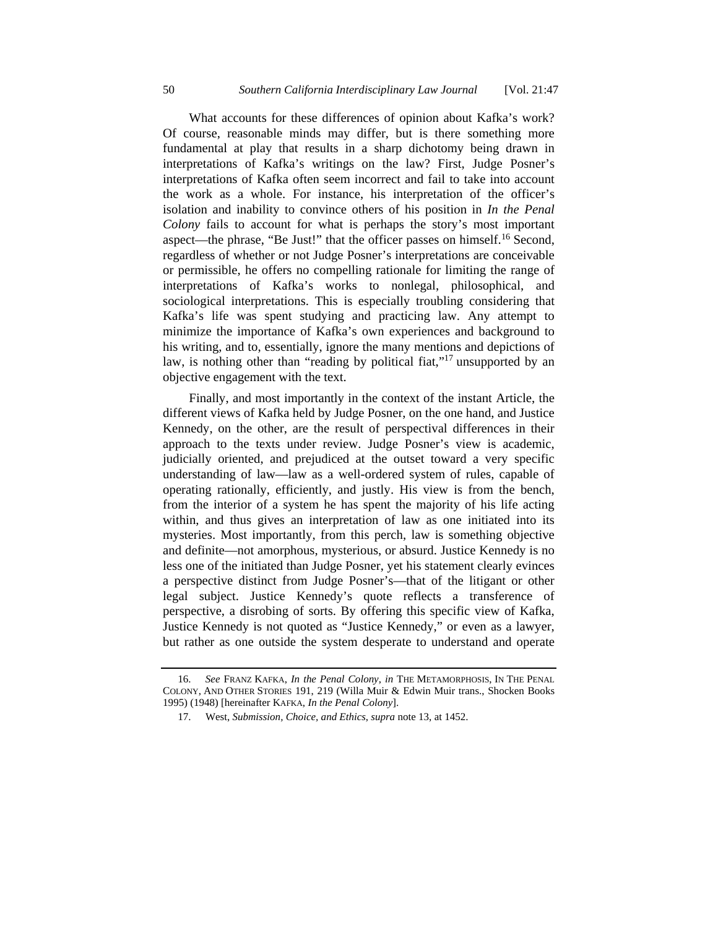What accounts for these differences of opinion about Kafka's work? Of course, reasonable minds may differ, but is there something more fundamental at play that results in a sharp dichotomy being drawn in interpretations of Kafka's writings on the law? First, Judge Posner's interpretations of Kafka often seem incorrect and fail to take into account the work as a whole. For instance, his interpretation of the officer's isolation and inability to convince others of his position in *In the Penal Colony* fails to account for what is perhaps the story's most important aspect—the phrase, "Be Just!" that the officer passes on himself.16 Second, regardless of whether or not Judge Posner's interpretations are conceivable or permissible, he offers no compelling rationale for limiting the range of interpretations of Kafka's works to nonlegal, philosophical, and sociological interpretations. This is especially troubling considering that Kafka's life was spent studying and practicing law. Any attempt to minimize the importance of Kafka's own experiences and background to his writing, and to, essentially, ignore the many mentions and depictions of law, is nothing other than "reading by political fiat,"<sup>17</sup> unsupported by an objective engagement with the text.

Finally, and most importantly in the context of the instant Article, the different views of Kafka held by Judge Posner, on the one hand, and Justice Kennedy, on the other, are the result of perspectival differences in their approach to the texts under review. Judge Posner's view is academic, judicially oriented, and prejudiced at the outset toward a very specific understanding of law—law as a well-ordered system of rules, capable of operating rationally, efficiently, and justly. His view is from the bench, from the interior of a system he has spent the majority of his life acting within, and thus gives an interpretation of law as one initiated into its mysteries. Most importantly, from this perch, law is something objective and definite—not amorphous, mysterious, or absurd. Justice Kennedy is no less one of the initiated than Judge Posner, yet his statement clearly evinces a perspective distinct from Judge Posner's—that of the litigant or other legal subject. Justice Kennedy's quote reflects a transference of perspective, a disrobing of sorts. By offering this specific view of Kafka, Justice Kennedy is not quoted as "Justice Kennedy," or even as a lawyer, but rather as one outside the system desperate to understand and operate

 <sup>16.</sup> *See* FRANZ KAFKA, *In the Penal Colony*, *in* THE METAMORPHOSIS, IN THE PENAL COLONY, AND OTHER STORIES 191, 219 (Willa Muir & Edwin Muir trans., Shocken Books 1995) (1948) [hereinafter KAFKA, *In the Penal Colony*].

 <sup>17.</sup> West, *Submission, Choice, and Ethics*, *supra* note 13, at 1452.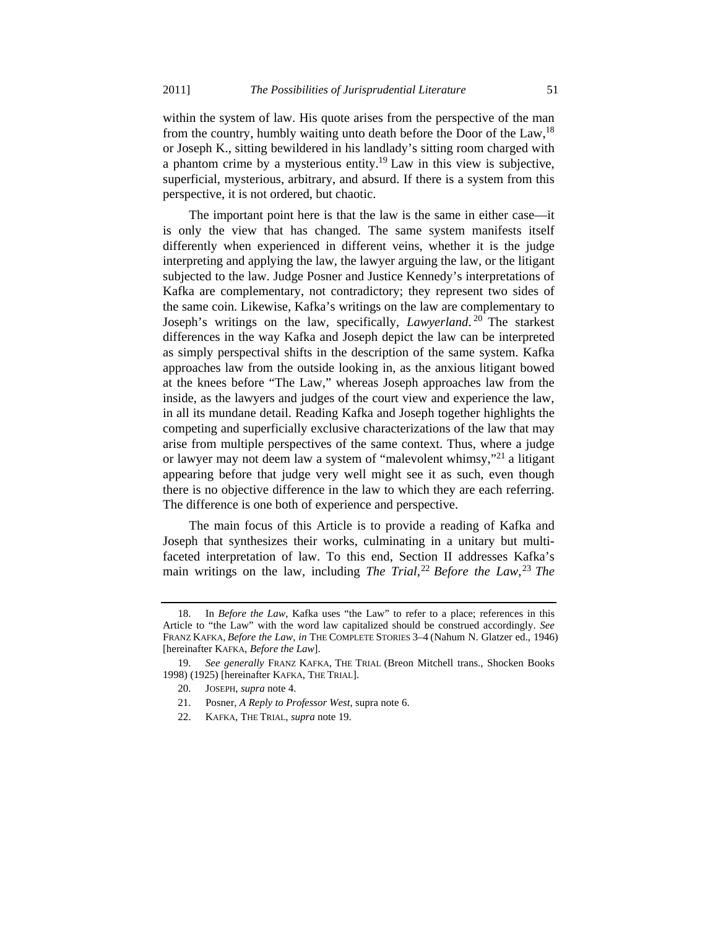within the system of law. His quote arises from the perspective of the man from the country, humbly waiting unto death before the Door of the Law,  $^{18}$ or Joseph K., sitting bewildered in his landlady's sitting room charged with a phantom crime by a mysterious entity.<sup>19</sup> Law in this view is subjective, superficial, mysterious, arbitrary, and absurd. If there is a system from this perspective, it is not ordered, but chaotic.

The important point here is that the law is the same in either case—it is only the view that has changed. The same system manifests itself differently when experienced in different veins, whether it is the judge interpreting and applying the law, the lawyer arguing the law, or the litigant subjected to the law. Judge Posner and Justice Kennedy's interpretations of Kafka are complementary, not contradictory; they represent two sides of the same coin. Likewise, Kafka's writings on the law are complementary to Joseph's writings on the law, specifically, *Lawyerland*. 20 The starkest differences in the way Kafka and Joseph depict the law can be interpreted as simply perspectival shifts in the description of the same system. Kafka approaches law from the outside looking in, as the anxious litigant bowed at the knees before "The Law," whereas Joseph approaches law from the inside, as the lawyers and judges of the court view and experience the law, in all its mundane detail. Reading Kafka and Joseph together highlights the competing and superficially exclusive characterizations of the law that may arise from multiple perspectives of the same context. Thus, where a judge or lawyer may not deem law a system of "malevolent whimsy,"21 a litigant appearing before that judge very well might see it as such, even though there is no objective difference in the law to which they are each referring. The difference is one both of experience and perspective.

The main focus of this Article is to provide a reading of Kafka and Joseph that synthesizes their works, culminating in a unitary but multifaceted interpretation of law. To this end, Section II addresses Kafka's main writings on the law, including *The Trial*, <sup>22</sup> *Before the Law*, <sup>23</sup> *The* 

22. KAFKA, THE TRIAL, *supra* note 19.

 <sup>18.</sup> In *Before the Law*, Kafka uses "the Law" to refer to a place; references in this Article to "the Law" with the word law capitalized should be construed accordingly. *See* FRANZ KAFKA, *Before the Law*, *in* THE COMPLETE STORIES 3–4 (Nahum N. Glatzer ed., 1946) [hereinafter KAFKA, *Before the Law*].

 <sup>19.</sup> *See generally* FRANZ KAFKA, THE TRIAL (Breon Mitchell trans., Shocken Books 1998) (1925) [hereinafter KAFKA, THE TRIAL].

 <sup>20.</sup> JOSEPH, *supra* note 4.

 <sup>21.</sup> Posner, *A Reply to Professor West*, supra note 6.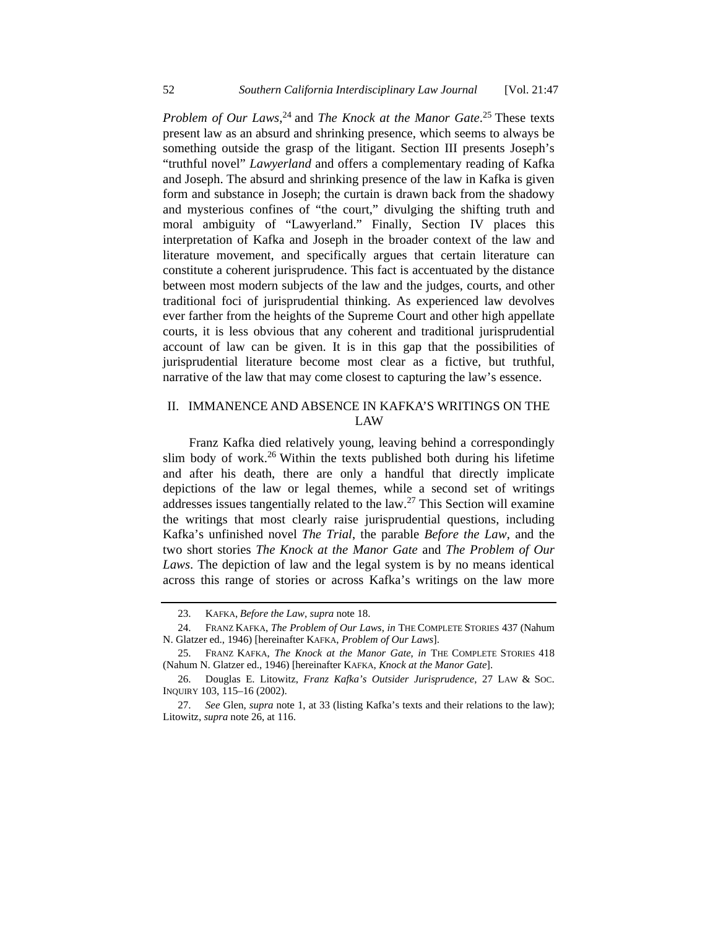*Problem of Our Laws*, 24 and *The Knock at the Manor Gate*. 25 These texts present law as an absurd and shrinking presence, which seems to always be something outside the grasp of the litigant. Section III presents Joseph's "truthful novel" *Lawyerland* and offers a complementary reading of Kafka and Joseph. The absurd and shrinking presence of the law in Kafka is given form and substance in Joseph; the curtain is drawn back from the shadowy and mysterious confines of "the court," divulging the shifting truth and moral ambiguity of "Lawyerland." Finally, Section IV places this interpretation of Kafka and Joseph in the broader context of the law and literature movement, and specifically argues that certain literature can constitute a coherent jurisprudence. This fact is accentuated by the distance between most modern subjects of the law and the judges, courts, and other traditional foci of jurisprudential thinking. As experienced law devolves ever farther from the heights of the Supreme Court and other high appellate courts, it is less obvious that any coherent and traditional jurisprudential account of law can be given. It is in this gap that the possibilities of jurisprudential literature become most clear as a fictive, but truthful, narrative of the law that may come closest to capturing the law's essence.

# II. IMMANENCE AND ABSENCE IN KAFKA'S WRITINGS ON THE LAW

Franz Kafka died relatively young, leaving behind a correspondingly slim body of work.<sup>26</sup> Within the texts published both during his lifetime and after his death, there are only a handful that directly implicate depictions of the law or legal themes, while a second set of writings addresses issues tangentially related to the law.27 This Section will examine the writings that most clearly raise jurisprudential questions, including Kafka's unfinished novel *The Trial*, the parable *Before the Law*, and the two short stories *The Knock at the Manor Gate* and *The Problem of Our Laws*. The depiction of law and the legal system is by no means identical across this range of stories or across Kafka's writings on the law more

 <sup>23.</sup> KAFKA, *Before the Law*, *supra* note 18.

 <sup>24.</sup> FRANZ KAFKA, *The Problem of Our Laws*, *in* THE COMPLETE STORIES 437 (Nahum N. Glatzer ed., 1946) [hereinafter KAFKA, *Problem of Our Laws*].

 <sup>25.</sup> FRANZ KAFKA, *The Knock at the Manor Gate*, *in* THE COMPLETE STORIES 418 (Nahum N. Glatzer ed., 1946) [hereinafter KAFKA, *Knock at the Manor Gate*].

 <sup>26.</sup> Douglas E. Litowitz, *Franz Kafka's Outsider Jurisprudence*, 27 LAW & SOC. INQUIRY 103, 115–16 (2002).

 <sup>27.</sup> *See* Glen, *supra* note 1, at 33 (listing Kafka's texts and their relations to the law); Litowitz, *supra* note 26, at 116.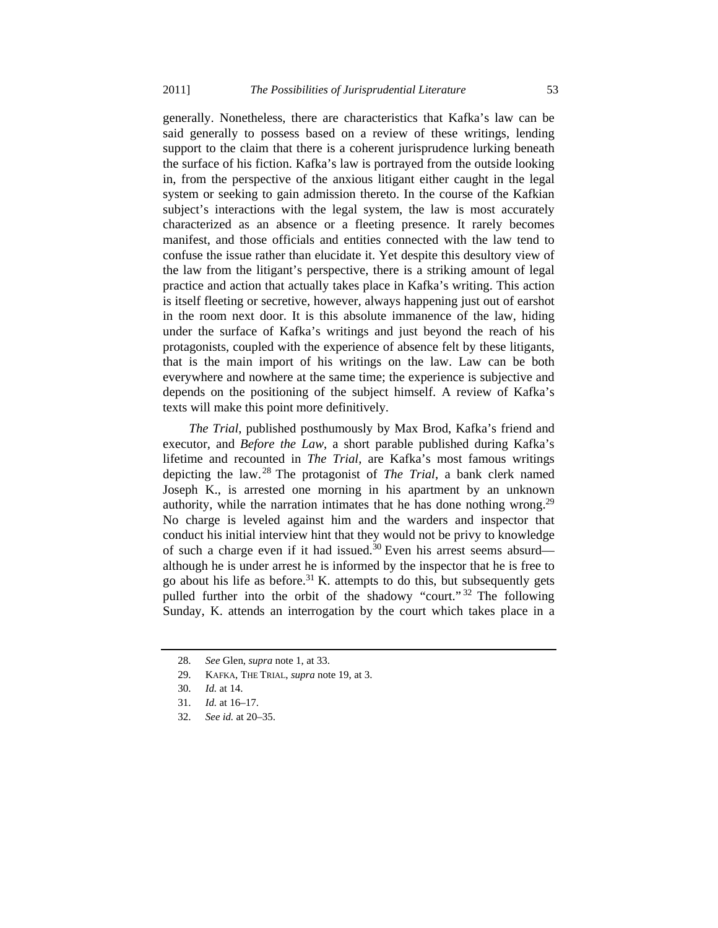generally. Nonetheless, there are characteristics that Kafka's law can be said generally to possess based on a review of these writings, lending support to the claim that there is a coherent jurisprudence lurking beneath the surface of his fiction. Kafka's law is portrayed from the outside looking in, from the perspective of the anxious litigant either caught in the legal system or seeking to gain admission thereto. In the course of the Kafkian subject's interactions with the legal system, the law is most accurately characterized as an absence or a fleeting presence. It rarely becomes manifest, and those officials and entities connected with the law tend to confuse the issue rather than elucidate it. Yet despite this desultory view of the law from the litigant's perspective, there is a striking amount of legal practice and action that actually takes place in Kafka's writing. This action is itself fleeting or secretive, however, always happening just out of earshot in the room next door. It is this absolute immanence of the law, hiding under the surface of Kafka's writings and just beyond the reach of his protagonists, coupled with the experience of absence felt by these litigants, that is the main import of his writings on the law. Law can be both everywhere and nowhere at the same time; the experience is subjective and depends on the positioning of the subject himself. A review of Kafka's texts will make this point more definitively.

*The Trial*, published posthumously by Max Brod, Kafka's friend and executor, and *Before the Law*, a short parable published during Kafka's lifetime and recounted in *The Trial*, are Kafka's most famous writings depicting the law. 28 The protagonist of *The Trial*, a bank clerk named Joseph K., is arrested one morning in his apartment by an unknown authority, while the narration intimates that he has done nothing wrong.<sup>29</sup> No charge is leveled against him and the warders and inspector that conduct his initial interview hint that they would not be privy to knowledge of such a charge even if it had issued.<sup>30</sup> Even his arrest seems absurd although he is under arrest he is informed by the inspector that he is free to go about his life as before.<sup>31</sup> K. attempts to do this, but subsequently gets pulled further into the orbit of the shadowy "court." 32 The following Sunday, K. attends an interrogation by the court which takes place in a

 <sup>28.</sup> *See* Glen, *supra* note 1, at 33.

 <sup>29.</sup> KAFKA, THE TRIAL, *supra* note 19, at 3.

 <sup>30.</sup> *Id.* at 14.

 <sup>31.</sup> *Id.* at 16–17.

 <sup>32.</sup> *See id.* at 20–35.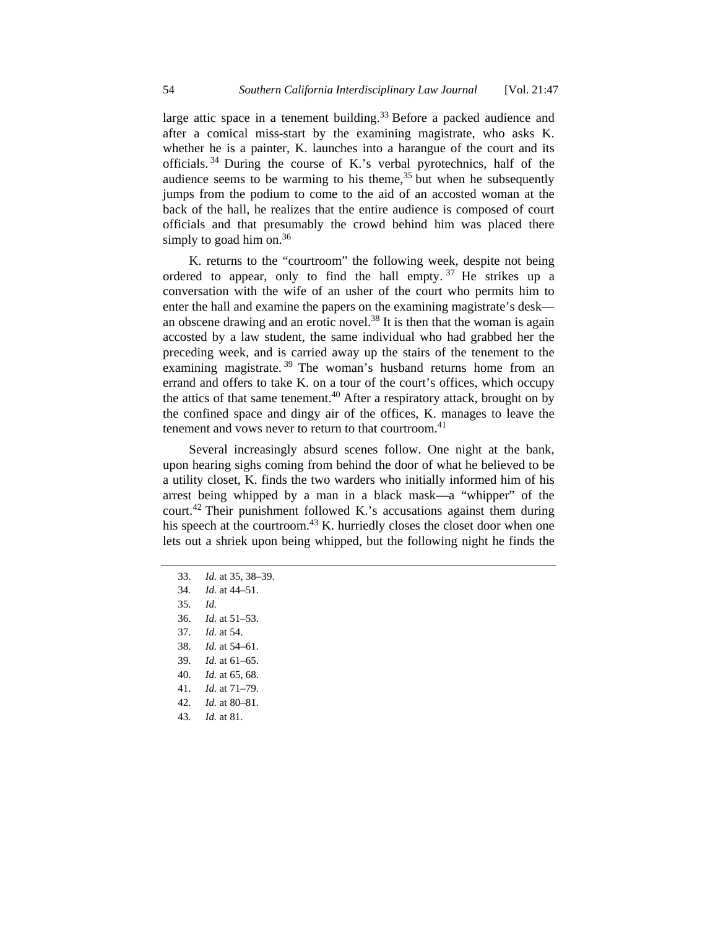large attic space in a tenement building.<sup>33</sup> Before a packed audience and after a comical miss-start by the examining magistrate, who asks K. whether he is a painter, K. launches into a harangue of the court and its officials. 34 During the course of K.'s verbal pyrotechnics, half of the audience seems to be warming to his theme,  $35$  but when he subsequently jumps from the podium to come to the aid of an accosted woman at the back of the hall, he realizes that the entire audience is composed of court officials and that presumably the crowd behind him was placed there simply to goad him on. $36$ 

K. returns to the "courtroom" the following week, despite not being ordered to appear, only to find the hall empty.  $37$  He strikes up a conversation with the wife of an usher of the court who permits him to enter the hall and examine the papers on the examining magistrate's desk an obscene drawing and an erotic novel. $38$  It is then that the woman is again accosted by a law student, the same individual who had grabbed her the preceding week, and is carried away up the stairs of the tenement to the examining magistrate.<sup>39</sup> The woman's husband returns home from an errand and offers to take K. on a tour of the court's offices, which occupy the attics of that same tenement.<sup>40</sup> After a respiratory attack, brought on by the confined space and dingy air of the offices, K. manages to leave the tenement and vows never to return to that courtroom.<sup>41</sup>

Several increasingly absurd scenes follow. One night at the bank, upon hearing sighs coming from behind the door of what he believed to be a utility closet, K. finds the two warders who initially informed him of his arrest being whipped by a man in a black mask—a "whipper" of the court.42 Their punishment followed K.'s accusations against them during his speech at the courtroom. $43$  K. hurriedly closes the closet door when one lets out a shriek upon being whipped, but the following night he finds the

- 33. *Id.* at 35, 38–39.
- 34. *Id.* at 44–51.
- 35. *Id.*
- 36. *Id.* at 51–53.
- 37. *Id.* at 54.
- 38. *Id.* at 54–61.
- 39. *Id.* at 61–65.
- 40. *Id.* at 65, 68.
- 41. *Id.* at 71–79.
- 42. *Id.* at 80–81.
- 43. *Id.* at 81.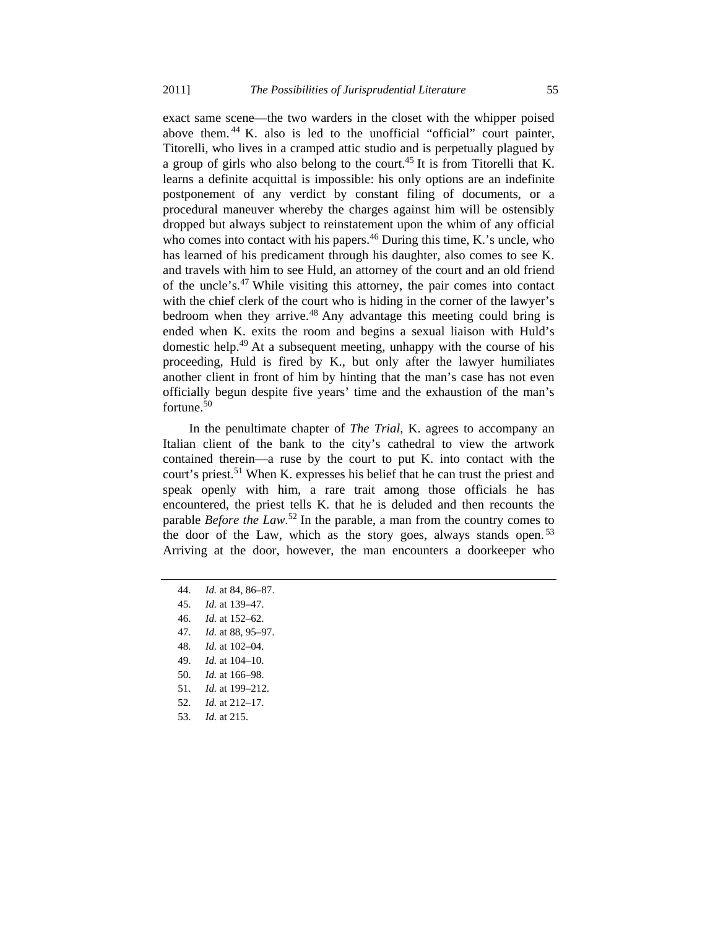exact same scene—the two warders in the closet with the whipper poised above them. 44 K. also is led to the unofficial "official" court painter, Titorelli, who lives in a cramped attic studio and is perpetually plagued by a group of girls who also belong to the court.<sup>45</sup> It is from Titorelli that K. learns a definite acquittal is impossible: his only options are an indefinite postponement of any verdict by constant filing of documents, or a procedural maneuver whereby the charges against him will be ostensibly dropped but always subject to reinstatement upon the whim of any official who comes into contact with his papers.<sup>46</sup> During this time, K.'s uncle, who has learned of his predicament through his daughter, also comes to see K. and travels with him to see Huld, an attorney of the court and an old friend of the uncle's.47 While visiting this attorney, the pair comes into contact with the chief clerk of the court who is hiding in the corner of the lawyer's bedroom when they arrive.<sup>48</sup> Any advantage this meeting could bring is ended when K. exits the room and begins a sexual liaison with Huld's domestic help.49 At a subsequent meeting, unhappy with the course of his proceeding, Huld is fired by K., but only after the lawyer humiliates another client in front of him by hinting that the man's case has not even officially begun despite five years' time and the exhaustion of the man's fortune. $50$ 

In the penultimate chapter of *The Trial*, K. agrees to accompany an Italian client of the bank to the city's cathedral to view the artwork contained therein—a ruse by the court to put K. into contact with the court's priest.<sup>51</sup> When K, expresses his belief that he can trust the priest and speak openly with him, a rare trait among those officials he has encountered, the priest tells K. that he is deluded and then recounts the parable *Before the Law*. 52 In the parable, a man from the country comes to the door of the Law, which as the story goes, always stands open.<sup>53</sup> Arriving at the door, however, the man encounters a doorkeeper who

- 44. *Id.* at 84, 86–87.
- 45. *Id.* at 139–47.
- 46. *Id.* at 152–62.
- 47. *Id.* at 88, 95–97.
- 48. *Id.* at 102–04.
- 49. *Id.* at 104–10.
- 50. *Id.* at 166–98.
- 51. *Id.* at 199–212.
- 52. *Id.* at 212–17.
- 53. *Id.* at 215.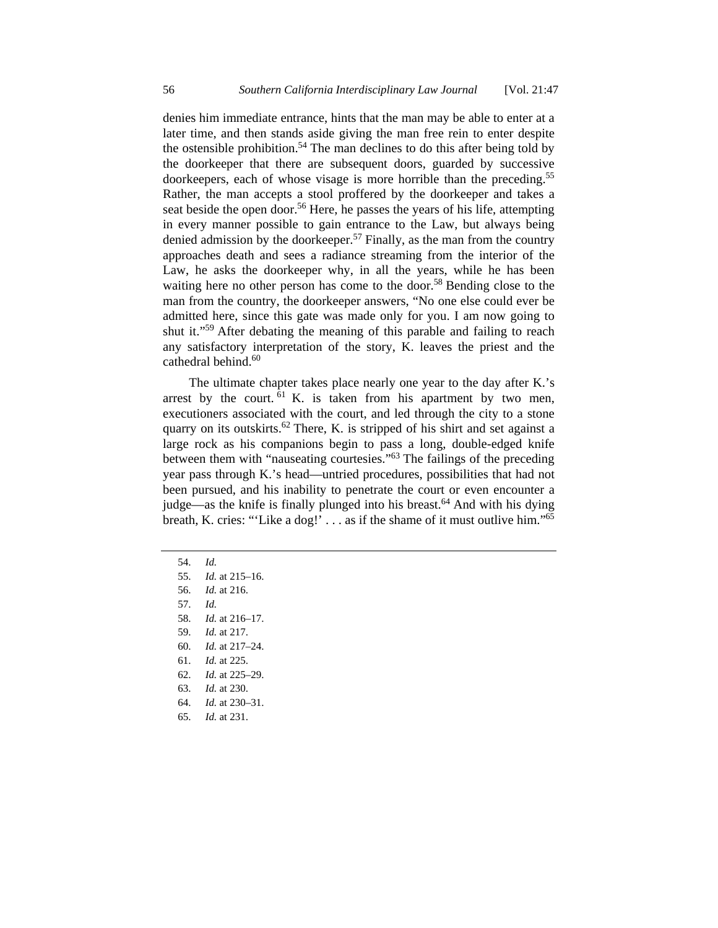denies him immediate entrance, hints that the man may be able to enter at a later time, and then stands aside giving the man free rein to enter despite the ostensible prohibition.<sup>54</sup> The man declines to do this after being told by the doorkeeper that there are subsequent doors, guarded by successive doorkeepers, each of whose visage is more horrible than the preceding.<sup>55</sup> Rather, the man accepts a stool proffered by the doorkeeper and takes a seat beside the open door.<sup>56</sup> Here, he passes the years of his life, attempting in every manner possible to gain entrance to the Law, but always being denied admission by the doorkeeper.<sup>57</sup> Finally, as the man from the country approaches death and sees a radiance streaming from the interior of the Law, he asks the doorkeeper why, in all the years, while he has been waiting here no other person has come to the door.<sup>58</sup> Bending close to the man from the country, the doorkeeper answers, "No one else could ever be admitted here, since this gate was made only for you. I am now going to shut it."59 After debating the meaning of this parable and failing to reach any satisfactory interpretation of the story, K. leaves the priest and the cathedral behind.<sup>60</sup>

The ultimate chapter takes place nearly one year to the day after K.'s arrest by the court.  $61$  K. is taken from his apartment by two men, executioners associated with the court, and led through the city to a stone quarry on its outskirts.<sup>62</sup> There, K. is stripped of his shirt and set against a large rock as his companions begin to pass a long, double-edged knife between them with "nauseating courtesies."63 The failings of the preceding year pass through K.'s head—untried procedures, possibilities that had not been pursued, and his inability to penetrate the court or even encounter a judge—as the knife is finally plunged into his breast.<sup>64</sup> And with his dying breath, K. cries: "'Like a dog!'  $\dots$  as if the shame of it must outlive him."<sup>65</sup>

54. *Id.*

 55. *Id.* at 215–16. 56. *Id.* at 216. 57. *Id.* 

- 
- 58. *Id.* at 216–17.
- 59. *Id.* at 217.
- 60. *Id.* at 217–24.
- 61. *Id.* at 225.
- 62. *Id.* at 225–29.
- 63. *Id.* at 230.
- 64. *Id.* at 230–31.
- 65. *Id.* at 231.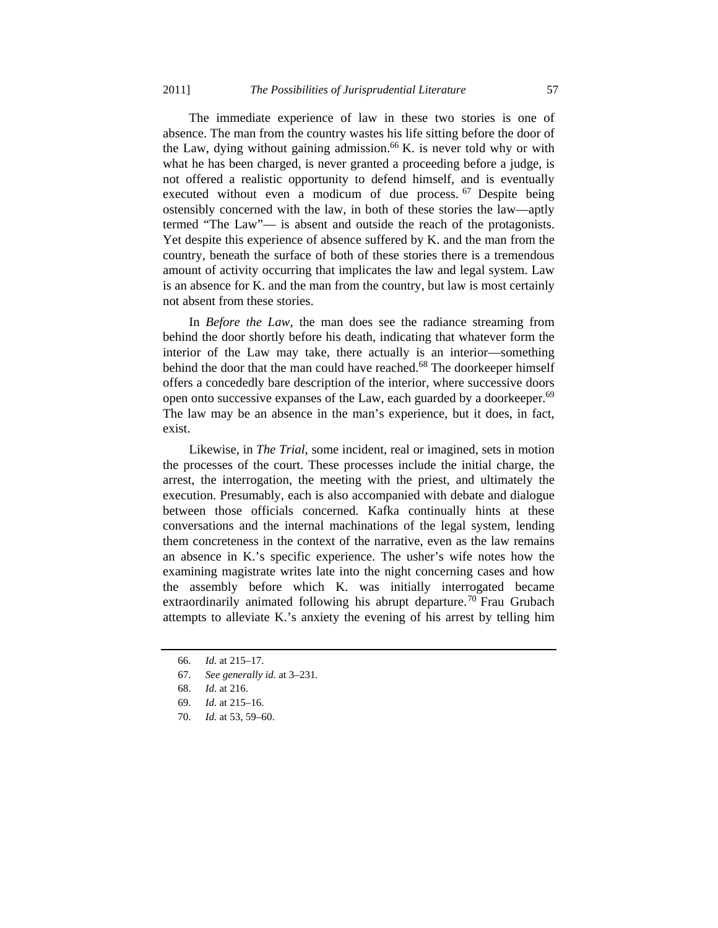The immediate experience of law in these two stories is one of absence. The man from the country wastes his life sitting before the door of the Law, dying without gaining admission.<sup>66</sup> K. is never told why or with what he has been charged, is never granted a proceeding before a judge, is not offered a realistic opportunity to defend himself, and is eventually executed without even a modicum of due process.<sup>67</sup> Despite being ostensibly concerned with the law, in both of these stories the law—aptly termed "The Law"— is absent and outside the reach of the protagonists. Yet despite this experience of absence suffered by K. and the man from the country, beneath the surface of both of these stories there is a tremendous amount of activity occurring that implicates the law and legal system. Law is an absence for K. and the man from the country, but law is most certainly not absent from these stories.

In *Before the Law*, the man does see the radiance streaming from behind the door shortly before his death, indicating that whatever form the interior of the Law may take, there actually is an interior—something behind the door that the man could have reached.<sup>68</sup> The doorkeeper himself offers a concededly bare description of the interior, where successive doors open onto successive expanses of the Law, each guarded by a doorkeeper.<sup>69</sup> The law may be an absence in the man's experience, but it does, in fact, exist.

Likewise, in *The Trial*, some incident, real or imagined, sets in motion the processes of the court. These processes include the initial charge, the arrest, the interrogation, the meeting with the priest, and ultimately the execution. Presumably, each is also accompanied with debate and dialogue between those officials concerned. Kafka continually hints at these conversations and the internal machinations of the legal system, lending them concreteness in the context of the narrative, even as the law remains an absence in K.'s specific experience. The usher's wife notes how the examining magistrate writes late into the night concerning cases and how the assembly before which K. was initially interrogated became extraordinarily animated following his abrupt departure.<sup>70</sup> Frau Grubach attempts to alleviate K.'s anxiety the evening of his arrest by telling him

 <sup>66.</sup> *Id.* at 215–17.

 <sup>67.</sup> *See generally id.* at 3–231.

 <sup>68.</sup> *Id.* at 216.

 <sup>69.</sup> *Id.* at 215–16.

 <sup>70.</sup> *Id.* at 53, 59–60.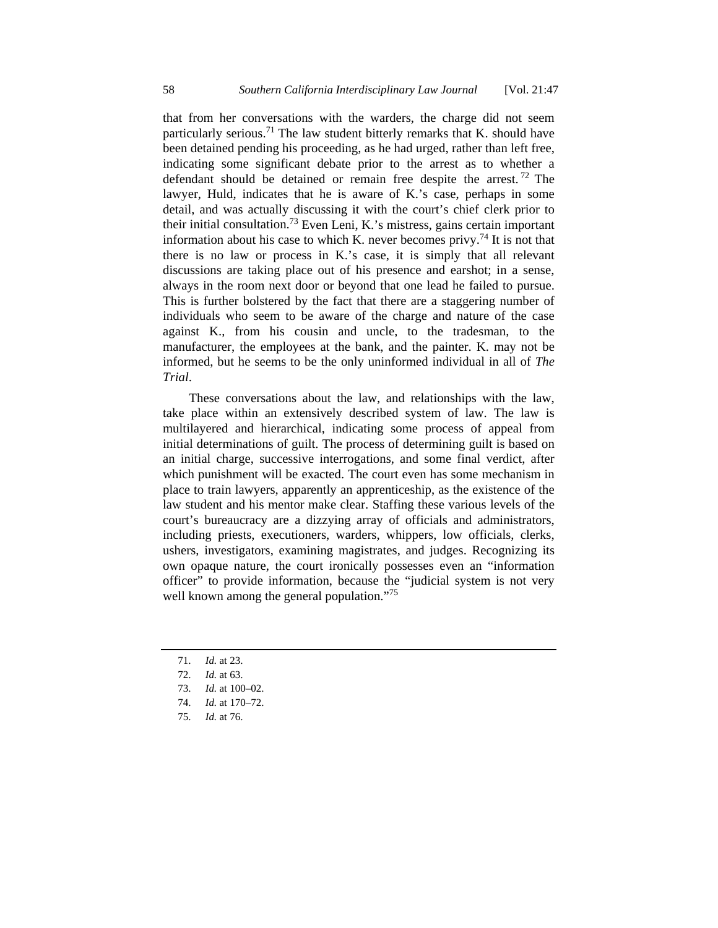that from her conversations with the warders, the charge did not seem particularly serious.<sup>71</sup> The law student bitterly remarks that K, should have been detained pending his proceeding, as he had urged, rather than left free, indicating some significant debate prior to the arrest as to whether a defendant should be detained or remain free despite the arrest.<sup>72</sup> The lawyer, Huld, indicates that he is aware of K.'s case, perhaps in some detail, and was actually discussing it with the court's chief clerk prior to their initial consultation.<sup>73</sup> Even Leni, K.'s mistress, gains certain important information about his case to which K, never becomes privy.<sup>74</sup> It is not that there is no law or process in K.'s case, it is simply that all relevant discussions are taking place out of his presence and earshot; in a sense, always in the room next door or beyond that one lead he failed to pursue. This is further bolstered by the fact that there are a staggering number of individuals who seem to be aware of the charge and nature of the case against K., from his cousin and uncle, to the tradesman, to the manufacturer, the employees at the bank, and the painter. K. may not be informed, but he seems to be the only uninformed individual in all of *The Trial*.

These conversations about the law, and relationships with the law, take place within an extensively described system of law. The law is multilayered and hierarchical, indicating some process of appeal from initial determinations of guilt. The process of determining guilt is based on an initial charge, successive interrogations, and some final verdict, after which punishment will be exacted. The court even has some mechanism in place to train lawyers, apparently an apprenticeship, as the existence of the law student and his mentor make clear. Staffing these various levels of the court's bureaucracy are a dizzying array of officials and administrators, including priests, executioners, warders, whippers, low officials, clerks, ushers, investigators, examining magistrates, and judges. Recognizing its own opaque nature, the court ironically possesses even an "information officer" to provide information, because the "judicial system is not very well known among the general population."<sup>75</sup>

- 71. *Id.* at 23.
- 72. *Id.* at 63.
- 73. *Id.* at 100–02.
- 74. *Id.* at 170–72.
- 75. *Id.* at 76.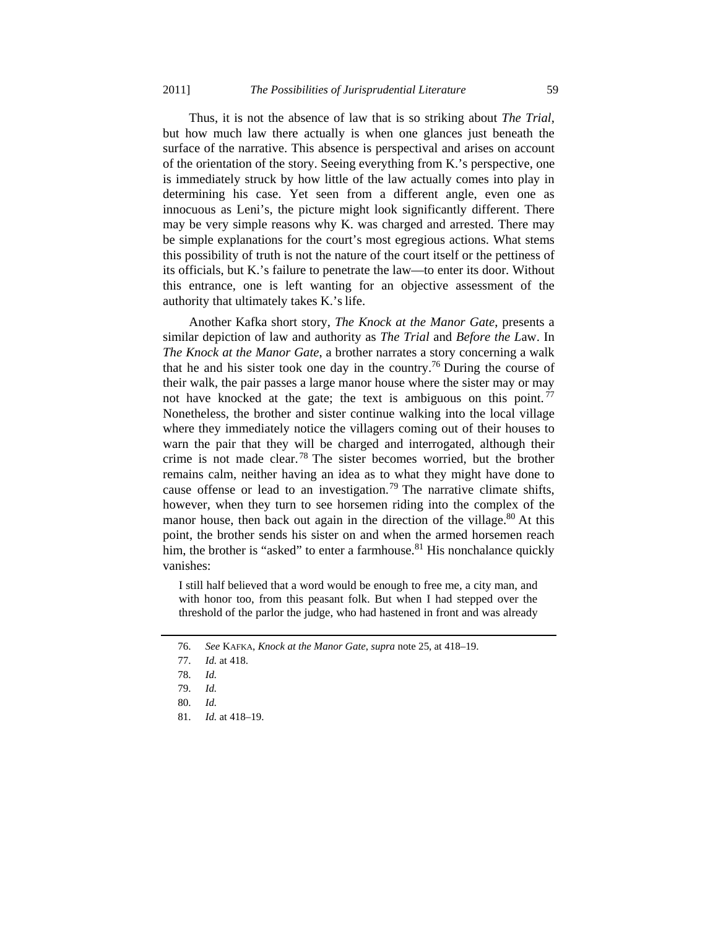Thus, it is not the absence of law that is so striking about *The Trial*, but how much law there actually is when one glances just beneath the surface of the narrative. This absence is perspectival and arises on account of the orientation of the story. Seeing everything from K.'s perspective, one is immediately struck by how little of the law actually comes into play in determining his case. Yet seen from a different angle, even one as innocuous as Leni's, the picture might look significantly different. There may be very simple reasons why K. was charged and arrested. There may be simple explanations for the court's most egregious actions. What stems this possibility of truth is not the nature of the court itself or the pettiness of its officials, but K.'s failure to penetrate the law—to enter its door. Without this entrance, one is left wanting for an objective assessment of the authority that ultimately takes K.'s life.

Another Kafka short story, *The Knock at the Manor Gate*, presents a similar depiction of law and authority as *The Trial* and *Before the L*aw. In *The Knock at the Manor Gate*, a brother narrates a story concerning a walk that he and his sister took one day in the country.<sup>76</sup> During the course of their walk, the pair passes a large manor house where the sister may or may not have knocked at the gate; the text is ambiguous on this point.  $77$ Nonetheless, the brother and sister continue walking into the local village where they immediately notice the villagers coming out of their houses to warn the pair that they will be charged and interrogated, although their crime is not made clear.<sup>78</sup> The sister becomes worried, but the brother remains calm, neither having an idea as to what they might have done to cause offense or lead to an investigation.<sup>79</sup> The narrative climate shifts, however, when they turn to see horsemen riding into the complex of the manor house, then back out again in the direction of the village.<sup>80</sup> At this point, the brother sends his sister on and when the armed horsemen reach him, the brother is "asked" to enter a farmhouse. $81$  His nonchalance quickly vanishes:

I still half believed that a word would be enough to free me, a city man, and with honor too, from this peasant folk. But when I had stepped over the threshold of the parlor the judge, who had hastened in front and was already

 <sup>76.</sup> *See* KAFKA, *Knock at the Manor Gate*, *supra* note 25, at 418–19.

 <sup>77.</sup> *Id.* at 418.

 <sup>78.</sup> *Id.*

 <sup>79.</sup> *Id.*

 <sup>80.</sup> *Id.*

 <sup>81.</sup> *Id.* at 418–19.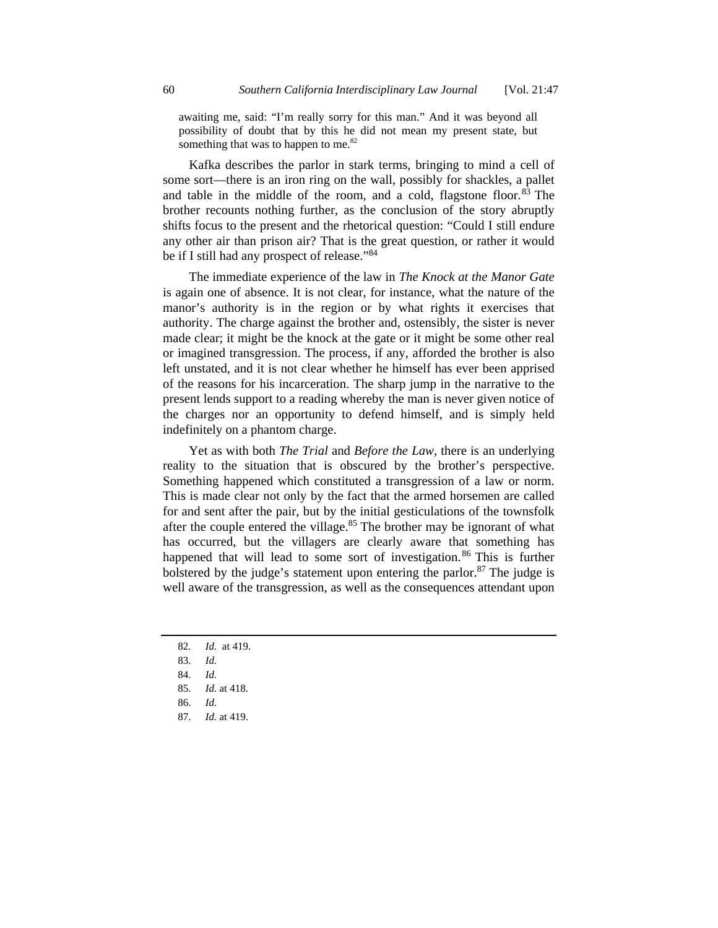awaiting me, said: "I'm really sorry for this man." And it was beyond all possibility of doubt that by this he did not mean my present state, but something that was to happen to me.<sup>82</sup>

Kafka describes the parlor in stark terms, bringing to mind a cell of some sort—there is an iron ring on the wall, possibly for shackles, a pallet and table in the middle of the room, and a cold, flagstone floor.  $83$  The brother recounts nothing further, as the conclusion of the story abruptly shifts focus to the present and the rhetorical question: "Could I still endure any other air than prison air? That is the great question, or rather it would be if I still had any prospect of release."<sup>84</sup>

The immediate experience of the law in *The Knock at the Manor Gate* is again one of absence. It is not clear, for instance, what the nature of the manor's authority is in the region or by what rights it exercises that authority. The charge against the brother and, ostensibly, the sister is never made clear; it might be the knock at the gate or it might be some other real or imagined transgression. The process, if any, afforded the brother is also left unstated, and it is not clear whether he himself has ever been apprised of the reasons for his incarceration. The sharp jump in the narrative to the present lends support to a reading whereby the man is never given notice of the charges nor an opportunity to defend himself, and is simply held indefinitely on a phantom charge.

Yet as with both *The Trial* and *Before the Law*, there is an underlying reality to the situation that is obscured by the brother's perspective. Something happened which constituted a transgression of a law or norm. This is made clear not only by the fact that the armed horsemen are called for and sent after the pair, but by the initial gesticulations of the townsfolk after the couple entered the village.<sup>85</sup> The brother may be ignorant of what has occurred, but the villagers are clearly aware that something has happened that will lead to some sort of investigation.<sup>86</sup> This is further bolstered by the judge's statement upon entering the parlor.<sup>87</sup> The judge is well aware of the transgression, as well as the consequences attendant upon

- 82. *Id.* at 419.
- 83. *Id.*
- 84. *Id.*
- 85. *Id.* at 418.
- 86. *Id.*
- 87. *Id.* at 419.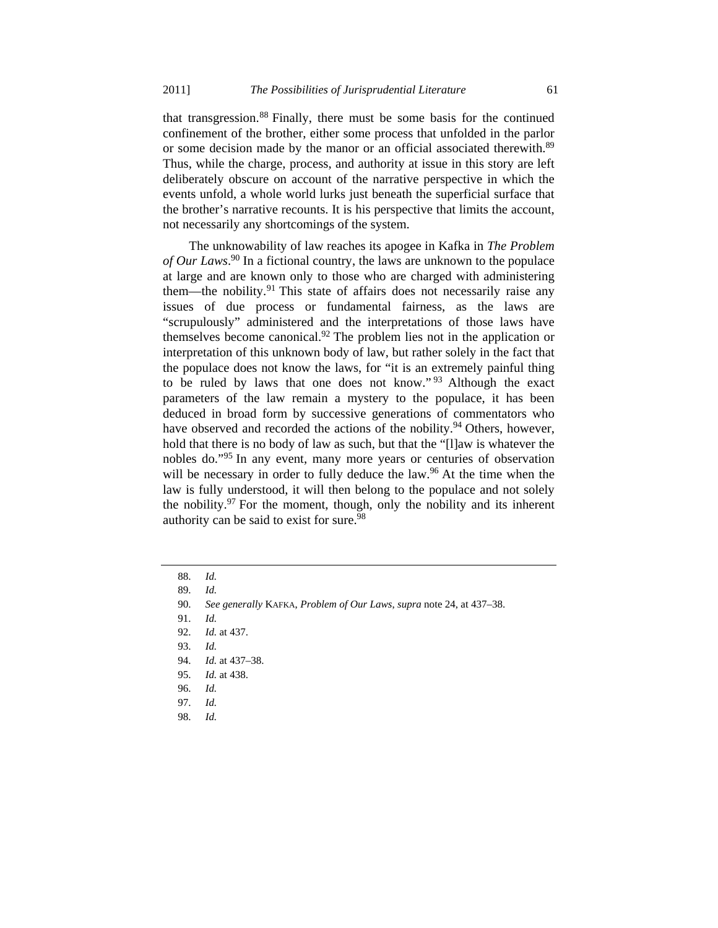that transgression.88 Finally, there must be some basis for the continued confinement of the brother, either some process that unfolded in the parlor or some decision made by the manor or an official associated therewith.<sup>89</sup> Thus, while the charge, process, and authority at issue in this story are left deliberately obscure on account of the narrative perspective in which the events unfold, a whole world lurks just beneath the superficial surface that the brother's narrative recounts. It is his perspective that limits the account, not necessarily any shortcomings of the system.

The unknowability of law reaches its apogee in Kafka in *The Problem of Our Laws*. 90 In a fictional country, the laws are unknown to the populace at large and are known only to those who are charged with administering them—the nobility.<sup>91</sup> This state of affairs does not necessarily raise any issues of due process or fundamental fairness, as the laws are "scrupulously" administered and the interpretations of those laws have themselves become canonical.<sup>92</sup> The problem lies not in the application or interpretation of this unknown body of law, but rather solely in the fact that the populace does not know the laws, for "it is an extremely painful thing to be ruled by laws that one does not know." 93 Although the exact parameters of the law remain a mystery to the populace, it has been deduced in broad form by successive generations of commentators who have observed and recorded the actions of the nobility.<sup>94</sup> Others, however, hold that there is no body of law as such, but that the "[l]aw is whatever the nobles do."95 In any event, many more years or centuries of observation will be necessary in order to fully deduce the law.<sup>96</sup> At the time when the law is fully understood, it will then belong to the populace and not solely the nobility. $97$  For the moment, though, only the nobility and its inherent authority can be said to exist for sure.<sup>98</sup>

- 94. *Id.* at 437–38.
- 95. *Id.* at 438.
- 96. *Id.*
- 97. *Id.*
- 98. *Id.*

 <sup>88.</sup> *Id.*

 <sup>89.</sup> *Id.*

 <sup>90.</sup> *See generally* KAFKA, *Problem of Our Laws*, *supra* note 24, at 437–38.

 <sup>91.</sup> *Id.*

 <sup>92.</sup> *Id.* at 437.

 <sup>93.</sup> *Id.*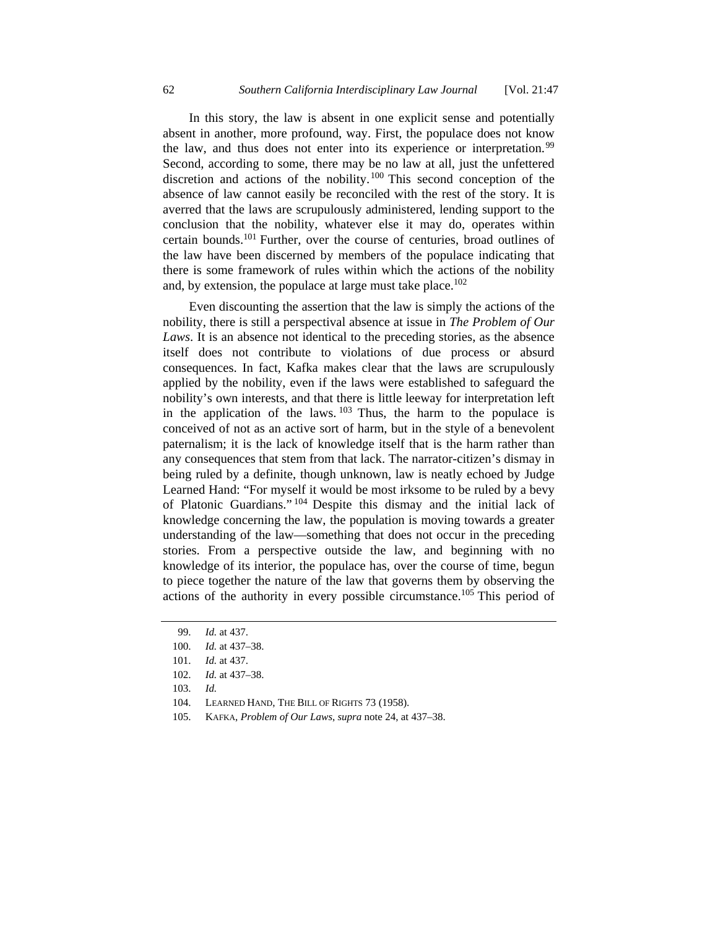In this story, the law is absent in one explicit sense and potentially absent in another, more profound, way. First, the populace does not know the law, and thus does not enter into its experience or interpretation.<sup>99</sup> Second, according to some, there may be no law at all, just the unfettered discretion and actions of the nobility.<sup>100</sup> This second conception of the absence of law cannot easily be reconciled with the rest of the story. It is averred that the laws are scrupulously administered, lending support to the conclusion that the nobility, whatever else it may do, operates within certain bounds.101 Further, over the course of centuries, broad outlines of the law have been discerned by members of the populace indicating that there is some framework of rules within which the actions of the nobility and, by extension, the populace at large must take place.<sup>102</sup>

Even discounting the assertion that the law is simply the actions of the nobility, there is still a perspectival absence at issue in *The Problem of Our Laws*. It is an absence not identical to the preceding stories, as the absence itself does not contribute to violations of due process or absurd consequences. In fact, Kafka makes clear that the laws are scrupulously applied by the nobility, even if the laws were established to safeguard the nobility's own interests, and that there is little leeway for interpretation left in the application of the laws.  $103$  Thus, the harm to the populace is conceived of not as an active sort of harm, but in the style of a benevolent paternalism; it is the lack of knowledge itself that is the harm rather than any consequences that stem from that lack. The narrator-citizen's dismay in being ruled by a definite, though unknown, law is neatly echoed by Judge Learned Hand: "For myself it would be most irksome to be ruled by a bevy of Platonic Guardians." 104 Despite this dismay and the initial lack of knowledge concerning the law, the population is moving towards a greater understanding of the law—something that does not occur in the preceding stories. From a perspective outside the law, and beginning with no knowledge of its interior, the populace has, over the course of time, begun to piece together the nature of the law that governs them by observing the actions of the authority in every possible circumstance.105 This period of

- 104. LEARNED HAND, THE BILL OF RIGHTS 73 (1958).
- 105. KAFKA, *Problem of Our Laws*, *supra* note 24, at 437–38.

 <sup>99.</sup> *Id.* at 437.

 <sup>100.</sup> *Id.* at 437–38.

 <sup>101.</sup> *Id.* at 437.

 <sup>102.</sup> *Id.* at 437–38.

 <sup>103.</sup> *Id.*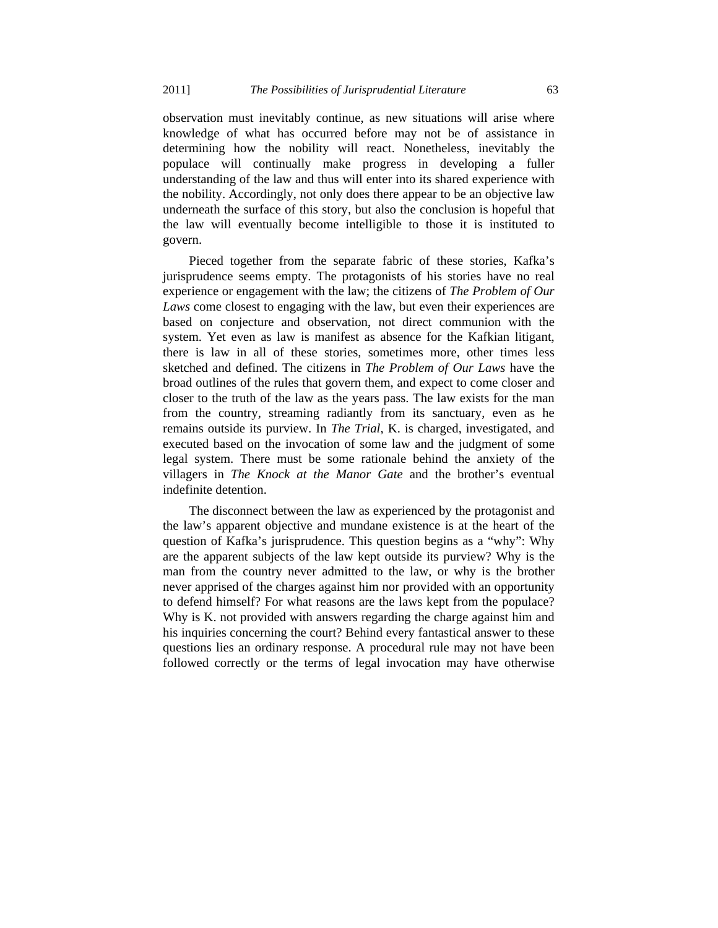observation must inevitably continue, as new situations will arise where knowledge of what has occurred before may not be of assistance in determining how the nobility will react. Nonetheless, inevitably the populace will continually make progress in developing a fuller understanding of the law and thus will enter into its shared experience with the nobility. Accordingly, not only does there appear to be an objective law underneath the surface of this story, but also the conclusion is hopeful that the law will eventually become intelligible to those it is instituted to govern.

Pieced together from the separate fabric of these stories, Kafka's jurisprudence seems empty. The protagonists of his stories have no real experience or engagement with the law; the citizens of *The Problem of Our Laws* come closest to engaging with the law, but even their experiences are based on conjecture and observation, not direct communion with the system. Yet even as law is manifest as absence for the Kafkian litigant, there is law in all of these stories, sometimes more, other times less sketched and defined. The citizens in *The Problem of Our Laws* have the broad outlines of the rules that govern them, and expect to come closer and closer to the truth of the law as the years pass. The law exists for the man from the country, streaming radiantly from its sanctuary, even as he remains outside its purview. In *The Trial*, K. is charged, investigated, and executed based on the invocation of some law and the judgment of some legal system. There must be some rationale behind the anxiety of the villagers in *The Knock at the Manor Gate* and the brother's eventual indefinite detention.

The disconnect between the law as experienced by the protagonist and the law's apparent objective and mundane existence is at the heart of the question of Kafka's jurisprudence. This question begins as a "why": Why are the apparent subjects of the law kept outside its purview? Why is the man from the country never admitted to the law, or why is the brother never apprised of the charges against him nor provided with an opportunity to defend himself? For what reasons are the laws kept from the populace? Why is K. not provided with answers regarding the charge against him and his inquiries concerning the court? Behind every fantastical answer to these questions lies an ordinary response. A procedural rule may not have been followed correctly or the terms of legal invocation may have otherwise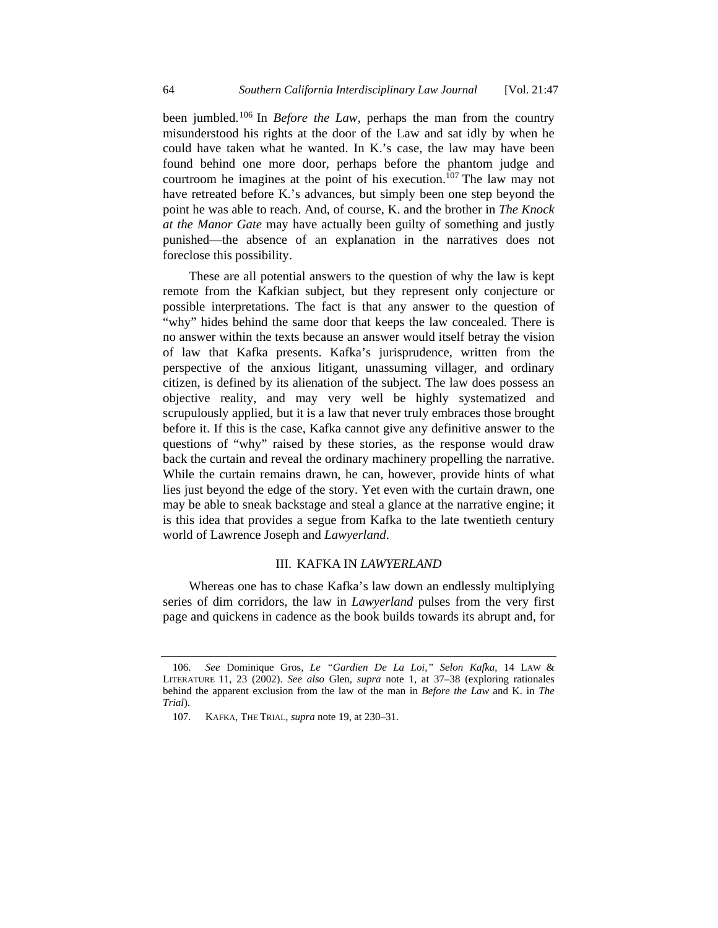been jumbled.106 In *Before the Law,* perhaps the man from the country misunderstood his rights at the door of the Law and sat idly by when he could have taken what he wanted. In K.'s case, the law may have been found behind one more door, perhaps before the phantom judge and courtroom he imagines at the point of his execution.<sup>107</sup> The law may not have retreated before K.'s advances, but simply been one step beyond the point he was able to reach. And, of course, K. and the brother in *The Knock at the Manor Gate* may have actually been guilty of something and justly punished—the absence of an explanation in the narratives does not foreclose this possibility.

These are all potential answers to the question of why the law is kept remote from the Kafkian subject, but they represent only conjecture or possible interpretations. The fact is that any answer to the question of "why" hides behind the same door that keeps the law concealed. There is no answer within the texts because an answer would itself betray the vision of law that Kafka presents. Kafka's jurisprudence, written from the perspective of the anxious litigant, unassuming villager, and ordinary citizen, is defined by its alienation of the subject. The law does possess an objective reality, and may very well be highly systematized and scrupulously applied, but it is a law that never truly embraces those brought before it. If this is the case, Kafka cannot give any definitive answer to the questions of "why" raised by these stories, as the response would draw back the curtain and reveal the ordinary machinery propelling the narrative. While the curtain remains drawn, he can, however, provide hints of what lies just beyond the edge of the story. Yet even with the curtain drawn, one may be able to sneak backstage and steal a glance at the narrative engine; it is this idea that provides a segue from Kafka to the late twentieth century world of Lawrence Joseph and *Lawyerland*.

#### III. KAFKA IN *LAWYERLAND*

Whereas one has to chase Kafka's law down an endlessly multiplying series of dim corridors, the law in *Lawyerland* pulses from the very first page and quickens in cadence as the book builds towards its abrupt and, for

 <sup>106.</sup> *See* Dominique Gros, *Le "Gardien De La Loi," Selon Kafka*, 14 LAW & LITERATURE 11, 23 (2002). *See also* Glen, *supra* note 1, at 37–38 (exploring rationales behind the apparent exclusion from the law of the man in *Before the Law* and K. in *The Trial*).

 <sup>107.</sup> KAFKA, THE TRIAL, *supra* note 19, at 230–31.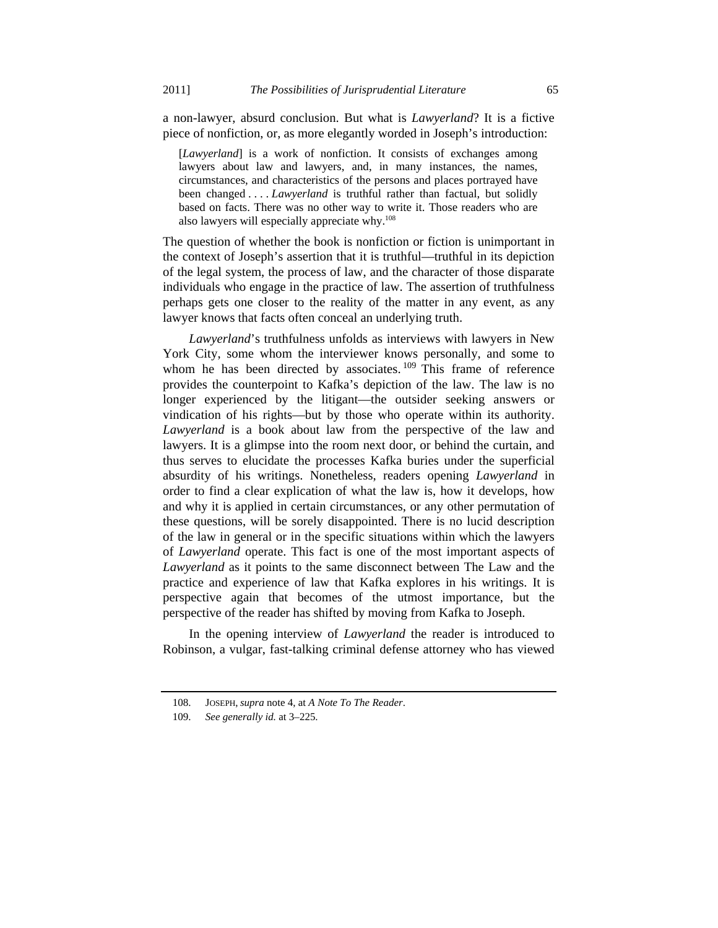a non-lawyer, absurd conclusion. But what is *Lawyerland*? It is a fictive piece of nonfiction, or, as more elegantly worded in Joseph's introduction:

[*Lawyerland*] is a work of nonfiction. It consists of exchanges among lawyers about law and lawyers, and, in many instances, the names, circumstances, and characteristics of the persons and places portrayed have been changed . . . . *Lawyerland* is truthful rather than factual, but solidly based on facts. There was no other way to write it. Those readers who are also lawyers will especially appreciate why.<sup>108</sup>

The question of whether the book is nonfiction or fiction is unimportant in the context of Joseph's assertion that it is truthful—truthful in its depiction of the legal system, the process of law, and the character of those disparate individuals who engage in the practice of law. The assertion of truthfulness perhaps gets one closer to the reality of the matter in any event, as any lawyer knows that facts often conceal an underlying truth.

*Lawyerland*'s truthfulness unfolds as interviews with lawyers in New York City, some whom the interviewer knows personally, and some to whom he has been directed by associates.<sup>109</sup> This frame of reference provides the counterpoint to Kafka's depiction of the law. The law is no longer experienced by the litigant—the outsider seeking answers or vindication of his rights—but by those who operate within its authority. *Lawyerland* is a book about law from the perspective of the law and lawyers. It is a glimpse into the room next door, or behind the curtain, and thus serves to elucidate the processes Kafka buries under the superficial absurdity of his writings. Nonetheless, readers opening *Lawyerland* in order to find a clear explication of what the law is, how it develops, how and why it is applied in certain circumstances, or any other permutation of these questions, will be sorely disappointed. There is no lucid description of the law in general or in the specific situations within which the lawyers of *Lawyerland* operate. This fact is one of the most important aspects of *Lawyerland* as it points to the same disconnect between The Law and the practice and experience of law that Kafka explores in his writings. It is perspective again that becomes of the utmost importance, but the perspective of the reader has shifted by moving from Kafka to Joseph.

In the opening interview of *Lawyerland* the reader is introduced to Robinson, a vulgar, fast-talking criminal defense attorney who has viewed

 <sup>108.</sup> JOSEPH, *supra* note 4, at *A Note To The Reader*.

 <sup>109.</sup> *See generally id.* at 3–225.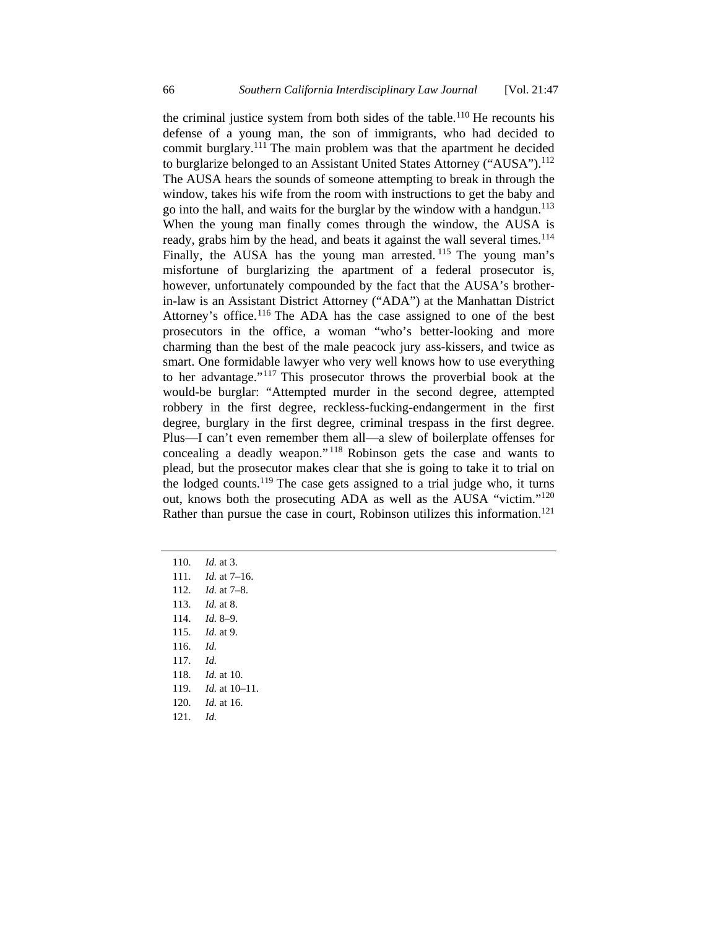the criminal justice system from both sides of the table.<sup>110</sup> He recounts his defense of a young man, the son of immigrants, who had decided to commit burglary.<sup>111</sup> The main problem was that the apartment he decided to burglarize belonged to an Assistant United States Attorney ("AUSA").<sup>112</sup> The AUSA hears the sounds of someone attempting to break in through the window, takes his wife from the room with instructions to get the baby and go into the hall, and waits for the burglar by the window with a handgun.113 When the young man finally comes through the window, the AUSA is ready, grabs him by the head, and beats it against the wall several times.<sup>114</sup> Finally, the AUSA has the young man arrested. <sup>115</sup> The young man's misfortune of burglarizing the apartment of a federal prosecutor is, however, unfortunately compounded by the fact that the AUSA's brotherin-law is an Assistant District Attorney ("ADA") at the Manhattan District Attorney's office.<sup>116</sup> The ADA has the case assigned to one of the best prosecutors in the office, a woman "who's better-looking and more charming than the best of the male peacock jury ass-kissers, and twice as smart. One formidable lawyer who very well knows how to use everything to her advantage."117 This prosecutor throws the proverbial book at the would-be burglar: "Attempted murder in the second degree, attempted robbery in the first degree, reckless-fucking-endangerment in the first degree, burglary in the first degree, criminal trespass in the first degree. Plus—I can't even remember them all—a slew of boilerplate offenses for concealing a deadly weapon." 118 Robinson gets the case and wants to plead, but the prosecutor makes clear that she is going to take it to trial on the lodged counts.<sup>119</sup> The case gets assigned to a trial judge who, it turns out, knows both the prosecuting ADA as well as the AUSA "victim."<sup>120</sup> Rather than pursue the case in court, Robinson utilizes this information.<sup>121</sup>

 110. *Id.* at 3. 111. *Id.* at 7–16. 112. *Id.* at 7–8. 113. *Id.* at 8. 114. *Id.* 8–9. 115. *Id.* at 9. 116. *Id.* 117. *Id.* 118. *Id.* at 10. 119. *Id.* at 10–11. 120. *Id.* at 16. 121. *Id.*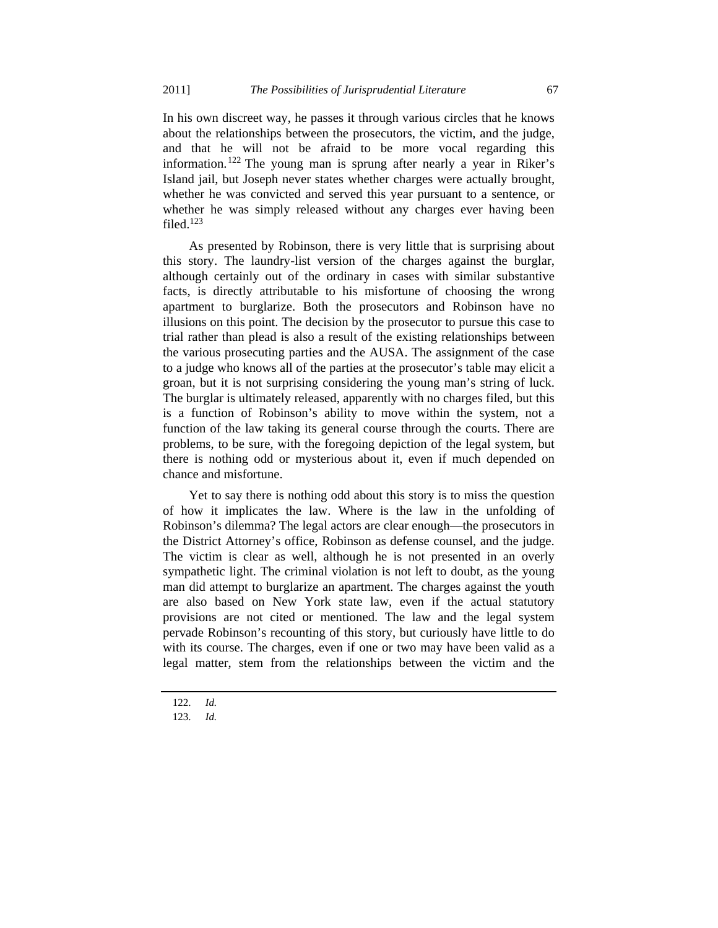In his own discreet way, he passes it through various circles that he knows about the relationships between the prosecutors, the victim, and the judge, and that he will not be afraid to be more vocal regarding this information.122 The young man is sprung after nearly a year in Riker's Island jail, but Joseph never states whether charges were actually brought, whether he was convicted and served this year pursuant to a sentence, or whether he was simply released without any charges ever having been filed.<sup>123</sup>

As presented by Robinson, there is very little that is surprising about this story. The laundry-list version of the charges against the burglar, although certainly out of the ordinary in cases with similar substantive facts, is directly attributable to his misfortune of choosing the wrong apartment to burglarize. Both the prosecutors and Robinson have no illusions on this point. The decision by the prosecutor to pursue this case to trial rather than plead is also a result of the existing relationships between the various prosecuting parties and the AUSA. The assignment of the case to a judge who knows all of the parties at the prosecutor's table may elicit a groan, but it is not surprising considering the young man's string of luck. The burglar is ultimately released, apparently with no charges filed, but this is a function of Robinson's ability to move within the system, not a function of the law taking its general course through the courts. There are problems, to be sure, with the foregoing depiction of the legal system, but there is nothing odd or mysterious about it, even if much depended on chance and misfortune.

Yet to say there is nothing odd about this story is to miss the question of how it implicates the law. Where is the law in the unfolding of Robinson's dilemma? The legal actors are clear enough—the prosecutors in the District Attorney's office, Robinson as defense counsel, and the judge. The victim is clear as well, although he is not presented in an overly sympathetic light. The criminal violation is not left to doubt, as the young man did attempt to burglarize an apartment. The charges against the youth are also based on New York state law, even if the actual statutory provisions are not cited or mentioned. The law and the legal system pervade Robinson's recounting of this story, but curiously have little to do with its course. The charges, even if one or two may have been valid as a legal matter, stem from the relationships between the victim and the

 <sup>122.</sup> *Id.*

 <sup>123.</sup> *Id.*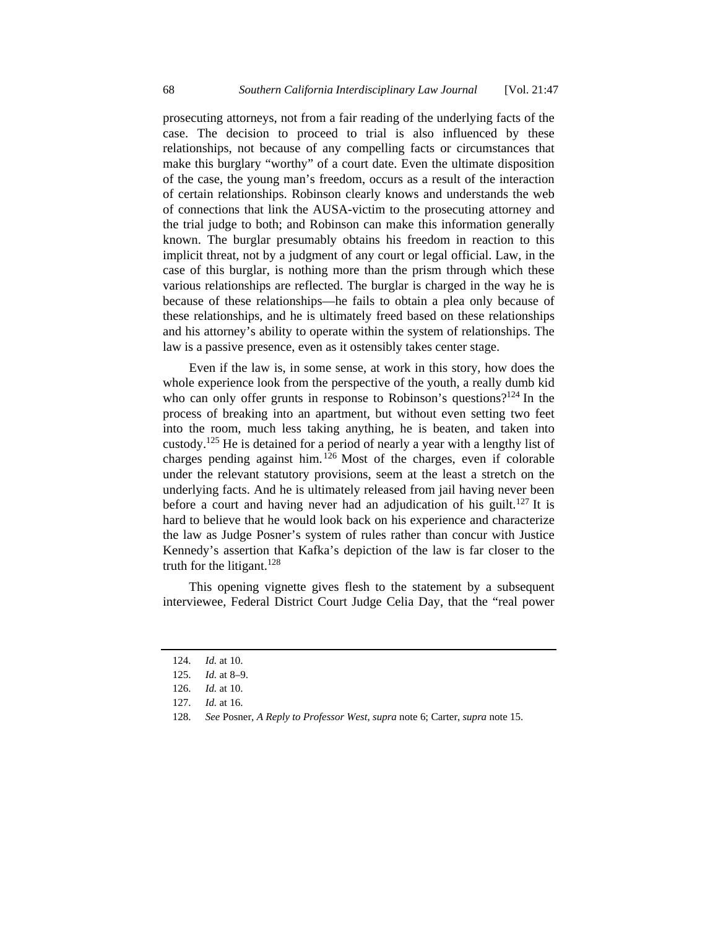prosecuting attorneys, not from a fair reading of the underlying facts of the case. The decision to proceed to trial is also influenced by these relationships, not because of any compelling facts or circumstances that make this burglary "worthy" of a court date. Even the ultimate disposition of the case, the young man's freedom, occurs as a result of the interaction of certain relationships. Robinson clearly knows and understands the web of connections that link the AUSA-victim to the prosecuting attorney and the trial judge to both; and Robinson can make this information generally known. The burglar presumably obtains his freedom in reaction to this implicit threat, not by a judgment of any court or legal official. Law, in the case of this burglar, is nothing more than the prism through which these various relationships are reflected. The burglar is charged in the way he is because of these relationships—he fails to obtain a plea only because of these relationships, and he is ultimately freed based on these relationships and his attorney's ability to operate within the system of relationships. The law is a passive presence, even as it ostensibly takes center stage.

Even if the law is, in some sense, at work in this story, how does the whole experience look from the perspective of the youth, a really dumb kid who can only offer grunts in response to Robinson's questions?<sup>124</sup> In the process of breaking into an apartment, but without even setting two feet into the room, much less taking anything, he is beaten, and taken into custody.125 He is detained for a period of nearly a year with a lengthy list of charges pending against him.  $126$  Most of the charges, even if colorable under the relevant statutory provisions, seem at the least a stretch on the underlying facts. And he is ultimately released from jail having never been before a court and having never had an adjudication of his guilt.<sup>127</sup> It is hard to believe that he would look back on his experience and characterize the law as Judge Posner's system of rules rather than concur with Justice Kennedy's assertion that Kafka's depiction of the law is far closer to the truth for the litigant.<sup>128</sup>

This opening vignette gives flesh to the statement by a subsequent interviewee, Federal District Court Judge Celia Day, that the "real power

 <sup>124.</sup> *Id.* at 10.

 <sup>125.</sup> *Id.* at 8–9.

 <sup>126.</sup> *Id.* at 10.

 <sup>127.</sup> *Id.* at 16.

 <sup>128.</sup> *See* Posner, *A Reply to Professor West*, *supra* note 6; Carter, *supra* note 15.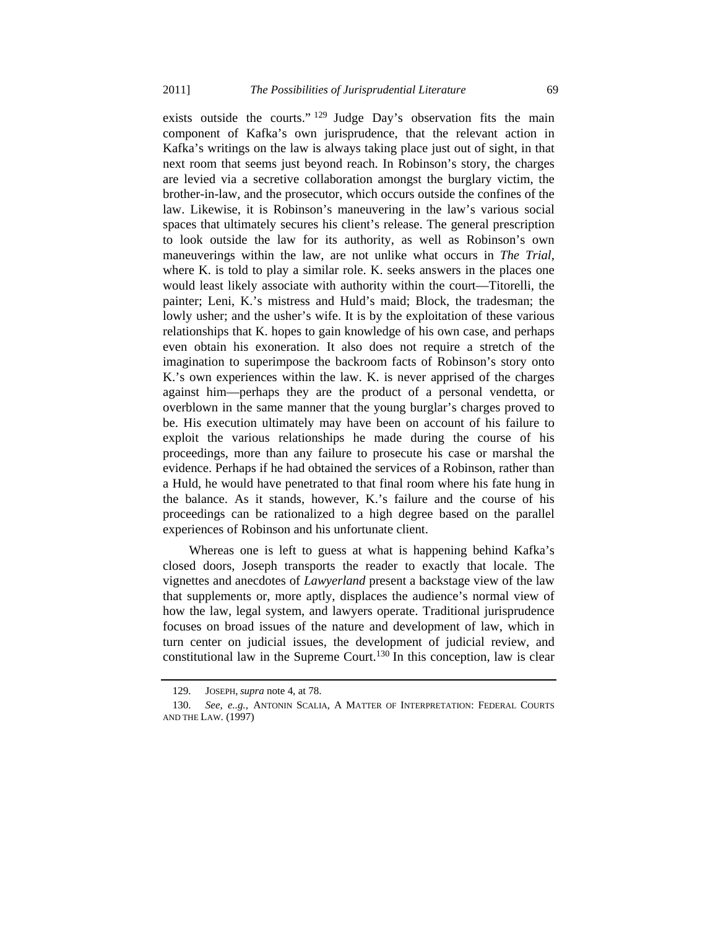exists outside the courts."<sup>129</sup> Judge Day's observation fits the main component of Kafka's own jurisprudence, that the relevant action in Kafka's writings on the law is always taking place just out of sight, in that next room that seems just beyond reach. In Robinson's story, the charges are levied via a secretive collaboration amongst the burglary victim, the brother-in-law, and the prosecutor, which occurs outside the confines of the law. Likewise, it is Robinson's maneuvering in the law's various social spaces that ultimately secures his client's release. The general prescription to look outside the law for its authority, as well as Robinson's own maneuverings within the law, are not unlike what occurs in *The Trial*, where K. is told to play a similar role. K. seeks answers in the places one would least likely associate with authority within the court—Titorelli, the painter; Leni, K.'s mistress and Huld's maid; Block, the tradesman; the lowly usher; and the usher's wife. It is by the exploitation of these various relationships that K. hopes to gain knowledge of his own case, and perhaps even obtain his exoneration. It also does not require a stretch of the imagination to superimpose the backroom facts of Robinson's story onto K.'s own experiences within the law. K. is never apprised of the charges against him—perhaps they are the product of a personal vendetta, or overblown in the same manner that the young burglar's charges proved to be. His execution ultimately may have been on account of his failure to exploit the various relationships he made during the course of his proceedings, more than any failure to prosecute his case or marshal the evidence. Perhaps if he had obtained the services of a Robinson, rather than a Huld, he would have penetrated to that final room where his fate hung in the balance. As it stands, however, K.'s failure and the course of his proceedings can be rationalized to a high degree based on the parallel experiences of Robinson and his unfortunate client.

Whereas one is left to guess at what is happening behind Kafka's closed doors, Joseph transports the reader to exactly that locale. The vignettes and anecdotes of *Lawyerland* present a backstage view of the law that supplements or, more aptly, displaces the audience's normal view of how the law, legal system, and lawyers operate. Traditional jurisprudence focuses on broad issues of the nature and development of law, which in turn center on judicial issues, the development of judicial review, and constitutional law in the Supreme Court.<sup>130</sup> In this conception, law is clear

 <sup>129.</sup> JOSEPH, *supra* note 4, at 78.

 <sup>130.</sup> *See*, *e..g.*, ANTONIN SCALIA, A MATTER OF INTERPRETATION: FEDERAL COURTS AND THE LAW. (1997)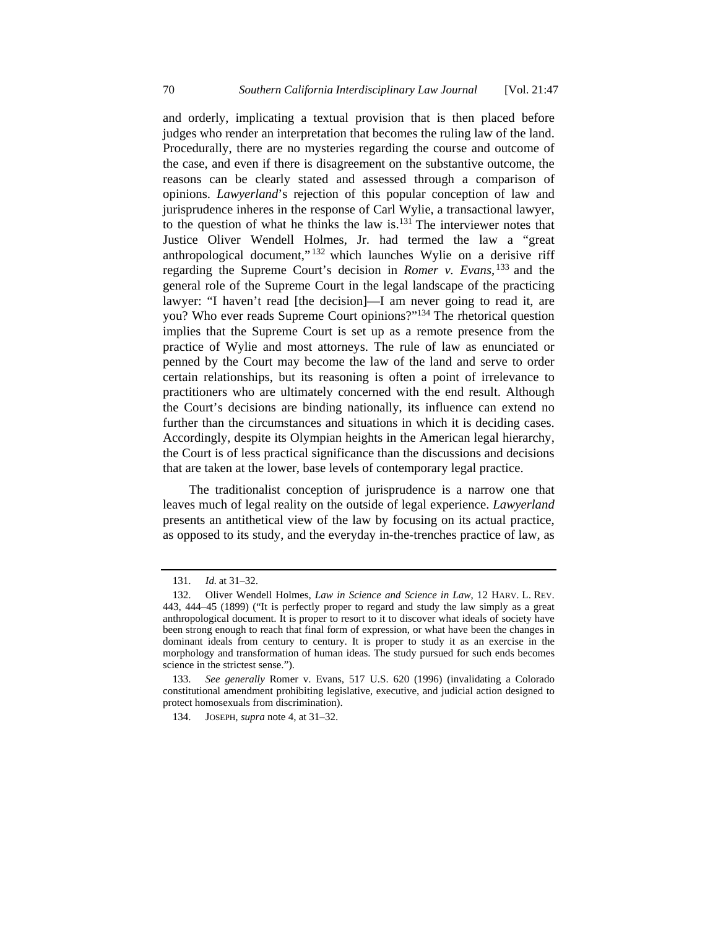and orderly, implicating a textual provision that is then placed before judges who render an interpretation that becomes the ruling law of the land. Procedurally, there are no mysteries regarding the course and outcome of the case, and even if there is disagreement on the substantive outcome, the reasons can be clearly stated and assessed through a comparison of opinions. *Lawyerland*'s rejection of this popular conception of law and jurisprudence inheres in the response of Carl Wylie, a transactional lawyer, to the question of what he thinks the law is. $131$  The interviewer notes that Justice Oliver Wendell Holmes, Jr. had termed the law a "great anthropological document,"<sup>132</sup> which launches Wylie on a derisive riff regarding the Supreme Court's decision in *Romer v. Evans*, 133 and the general role of the Supreme Court in the legal landscape of the practicing lawyer: "I haven't read [the decision]—I am never going to read it, are you? Who ever reads Supreme Court opinions?"134 The rhetorical question implies that the Supreme Court is set up as a remote presence from the practice of Wylie and most attorneys. The rule of law as enunciated or penned by the Court may become the law of the land and serve to order certain relationships, but its reasoning is often a point of irrelevance to practitioners who are ultimately concerned with the end result. Although the Court's decisions are binding nationally, its influence can extend no further than the circumstances and situations in which it is deciding cases. Accordingly, despite its Olympian heights in the American legal hierarchy, the Court is of less practical significance than the discussions and decisions that are taken at the lower, base levels of contemporary legal practice.

The traditionalist conception of jurisprudence is a narrow one that leaves much of legal reality on the outside of legal experience. *Lawyerland* presents an antithetical view of the law by focusing on its actual practice, as opposed to its study, and the everyday in-the-trenches practice of law, as

 <sup>131.</sup> *Id.* at 31–32.

 <sup>132.</sup> Oliver Wendell Holmes, *Law in Science and Science in Law*, 12 HARV. L. REV. 443, 444–45 (1899) ("It is perfectly proper to regard and study the law simply as a great anthropological document. It is proper to resort to it to discover what ideals of society have been strong enough to reach that final form of expression, or what have been the changes in dominant ideals from century to century. It is proper to study it as an exercise in the morphology and transformation of human ideas. The study pursued for such ends becomes science in the strictest sense.").

 <sup>133.</sup> *See generally* Romer v. Evans, 517 U.S. 620 (1996) (invalidating a Colorado constitutional amendment prohibiting legislative, executive, and judicial action designed to protect homosexuals from discrimination).

 <sup>134.</sup> JOSEPH, *supra* note 4, at 31–32.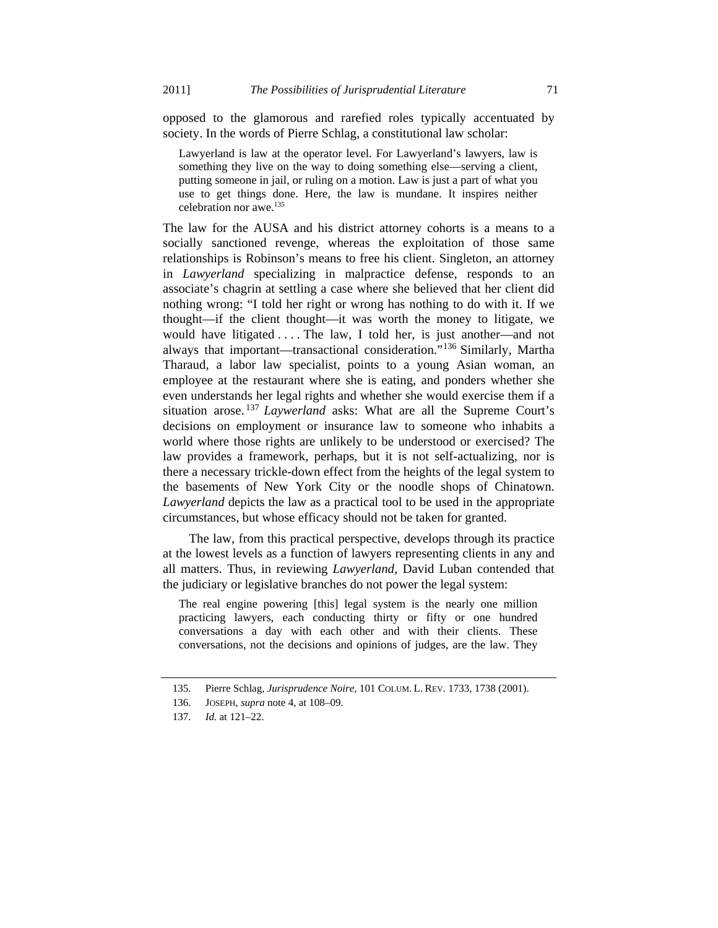opposed to the glamorous and rarefied roles typically accentuated by society. In the words of Pierre Schlag, a constitutional law scholar:

Lawyerland is law at the operator level. For Lawyerland's lawyers, law is something they live on the way to doing something else—serving a client, putting someone in jail, or ruling on a motion. Law is just a part of what you use to get things done. Here, the law is mundane. It inspires neither celebration nor awe.135

The law for the AUSA and his district attorney cohorts is a means to a socially sanctioned revenge, whereas the exploitation of those same relationships is Robinson's means to free his client. Singleton, an attorney in *Lawyerland* specializing in malpractice defense, responds to an associate's chagrin at settling a case where she believed that her client did nothing wrong: "I told her right or wrong has nothing to do with it. If we thought—if the client thought—it was worth the money to litigate, we would have litigated . . . . The law, I told her, is just another—and not always that important—transactional consideration."136 Similarly, Martha Tharaud, a labor law specialist, points to a young Asian woman, an employee at the restaurant where she is eating, and ponders whether she even understands her legal rights and whether she would exercise them if a situation arose. <sup>137</sup> *Laywerland* asks: What are all the Supreme Court's decisions on employment or insurance law to someone who inhabits a world where those rights are unlikely to be understood or exercised? The law provides a framework, perhaps, but it is not self-actualizing, nor is there a necessary trickle-down effect from the heights of the legal system to the basements of New York City or the noodle shops of Chinatown. *Lawyerland* depicts the law as a practical tool to be used in the appropriate circumstances, but whose efficacy should not be taken for granted.

The law, from this practical perspective, develops through its practice at the lowest levels as a function of lawyers representing clients in any and all matters. Thus, in reviewing *Lawyerland*, David Luban contended that the judiciary or legislative branches do not power the legal system:

The real engine powering [this] legal system is the nearly one million practicing lawyers, each conducting thirty or fifty or one hundred conversations a day with each other and with their clients. These conversations, not the decisions and opinions of judges, are the law. They

 <sup>135.</sup> Pierre Schlag, *Jurisprudence Noire*, 101 COLUM. L. REV. 1733, 1738 (2001).

 <sup>136.</sup> JOSEPH, *supra* note 4, at 108–09.

 <sup>137.</sup> *Id.* at 121–22.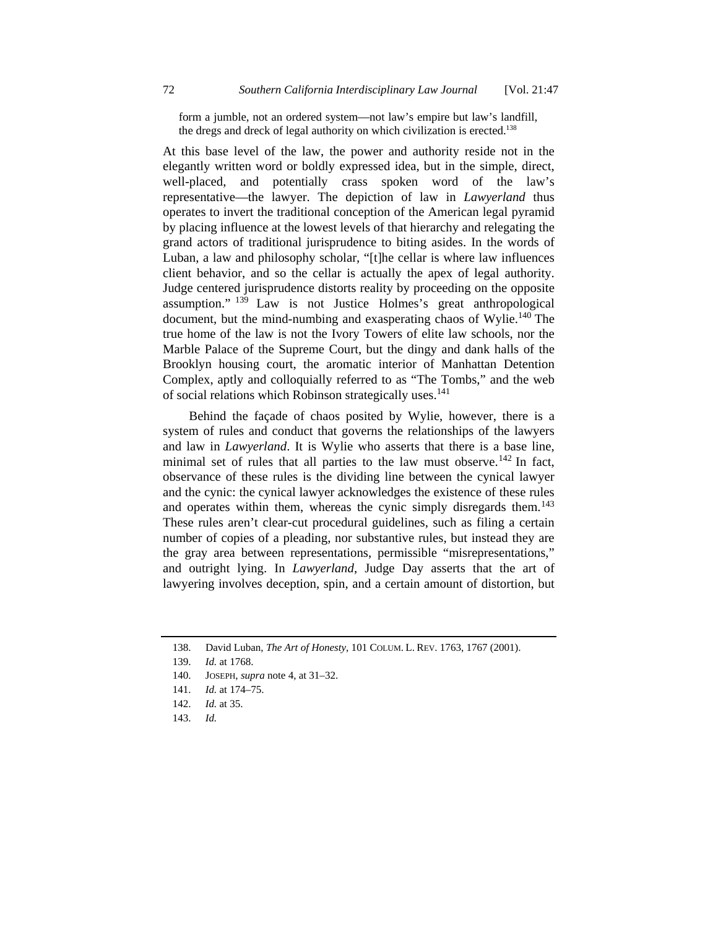form a jumble, not an ordered system—not law's empire but law's landfill, the dregs and dreck of legal authority on which civilization is erected.<sup>138</sup>

At this base level of the law, the power and authority reside not in the elegantly written word or boldly expressed idea, but in the simple, direct, well-placed, and potentially crass spoken word of the law's representative—the lawyer. The depiction of law in *Lawyerland* thus operates to invert the traditional conception of the American legal pyramid by placing influence at the lowest levels of that hierarchy and relegating the grand actors of traditional jurisprudence to biting asides. In the words of Luban, a law and philosophy scholar, "[t]he cellar is where law influences client behavior, and so the cellar is actually the apex of legal authority. Judge centered jurisprudence distorts reality by proceeding on the opposite assumption." 139 Law is not Justice Holmes's great anthropological document, but the mind-numbing and exasperating chaos of Wylie.<sup>140</sup> The true home of the law is not the Ivory Towers of elite law schools, nor the Marble Palace of the Supreme Court, but the dingy and dank halls of the Brooklyn housing court, the aromatic interior of Manhattan Detention Complex, aptly and colloquially referred to as "The Tombs," and the web of social relations which Robinson strategically uses.<sup>141</sup>

Behind the façade of chaos posited by Wylie, however, there is a system of rules and conduct that governs the relationships of the lawyers and law in *Lawyerland*. It is Wylie who asserts that there is a base line, minimal set of rules that all parties to the law must observe.<sup>142</sup> In fact, observance of these rules is the dividing line between the cynical lawyer and the cynic: the cynical lawyer acknowledges the existence of these rules and operates within them, whereas the cynic simply disregards them.<sup>143</sup> These rules aren't clear-cut procedural guidelines, such as filing a certain number of copies of a pleading, nor substantive rules, but instead they are the gray area between representations, permissible "misrepresentations," and outright lying. In *Lawyerland*, Judge Day asserts that the art of lawyering involves deception, spin, and a certain amount of distortion, but

138. David Luban, *The Art of Honesty*, 101 COLUM. L. REV. 1763, 1767 (2001).

- 142. *Id.* at 35.
- 143. *Id.*

 <sup>139.</sup> *Id.* at 1768.

 <sup>140.</sup> JOSEPH, *supra* note 4, at 31–32.

 <sup>141.</sup> *Id.* at 174–75.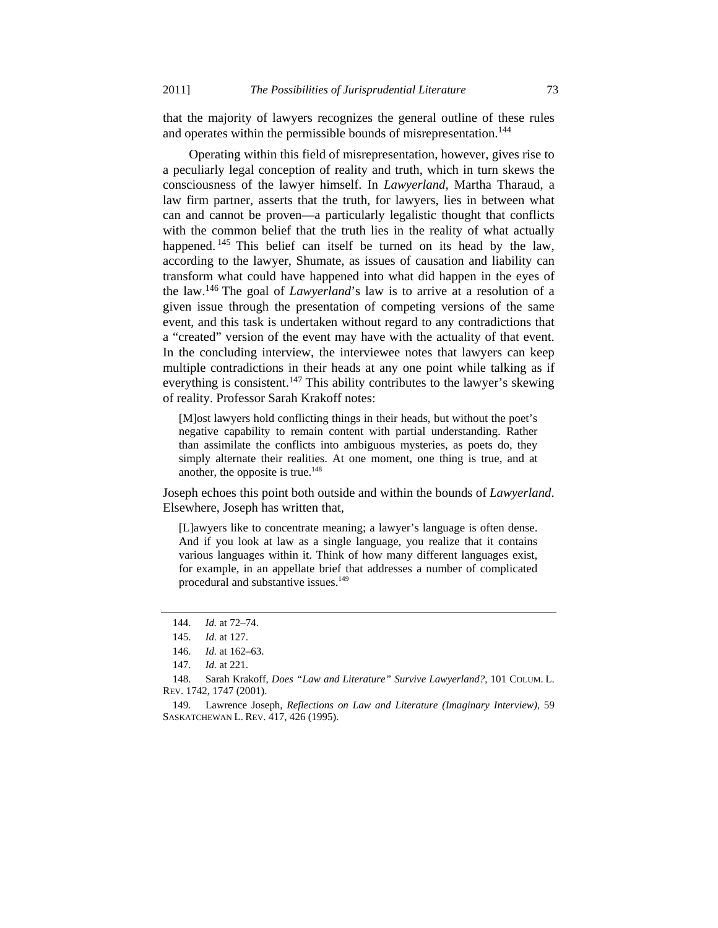that the majority of lawyers recognizes the general outline of these rules and operates within the permissible bounds of misrepresentation.<sup>144</sup>

Operating within this field of misrepresentation, however, gives rise to a peculiarly legal conception of reality and truth, which in turn skews the consciousness of the lawyer himself. In *Lawyerland*, Martha Tharaud, a law firm partner, asserts that the truth, for lawyers, lies in between what can and cannot be proven—a particularly legalistic thought that conflicts with the common belief that the truth lies in the reality of what actually happened. <sup>145</sup> This belief can itself be turned on its head by the law, according to the lawyer, Shumate, as issues of causation and liability can transform what could have happened into what did happen in the eyes of the law.146 The goal of *Lawyerland*'s law is to arrive at a resolution of a given issue through the presentation of competing versions of the same event, and this task is undertaken without regard to any contradictions that a "created" version of the event may have with the actuality of that event. In the concluding interview, the interviewee notes that lawyers can keep multiple contradictions in their heads at any one point while talking as if everything is consistent.<sup>147</sup> This ability contributes to the lawyer's skewing of reality. Professor Sarah Krakoff notes:

[M]ost lawyers hold conflicting things in their heads, but without the poet's negative capability to remain content with partial understanding. Rather than assimilate the conflicts into ambiguous mysteries, as poets do, they simply alternate their realities. At one moment, one thing is true, and at another, the opposite is true. $148$ 

Joseph echoes this point both outside and within the bounds of *Lawyerland*. Elsewhere, Joseph has written that,

[L]awyers like to concentrate meaning; a lawyer's language is often dense. And if you look at law as a single language, you realize that it contains various languages within it. Think of how many different languages exist, for example, in an appellate brief that addresses a number of complicated procedural and substantive issues.<sup>149</sup>

 <sup>144.</sup> *Id.* at 72–74.

 <sup>145.</sup> *Id.* at 127.

 <sup>146.</sup> *Id.* at 162–63.

 <sup>147.</sup> *Id.* at 221.

 <sup>148.</sup> Sarah Krakoff, *Does "Law and Literature" Survive Lawyerland?*, 101 COLUM. L. REV. 1742, 1747 (2001).

 <sup>149.</sup> Lawrence Joseph, *Reflections on Law and Literature (Imaginary Interview)*, 59 SASKATCHEWAN L. REV. 417, 426 (1995).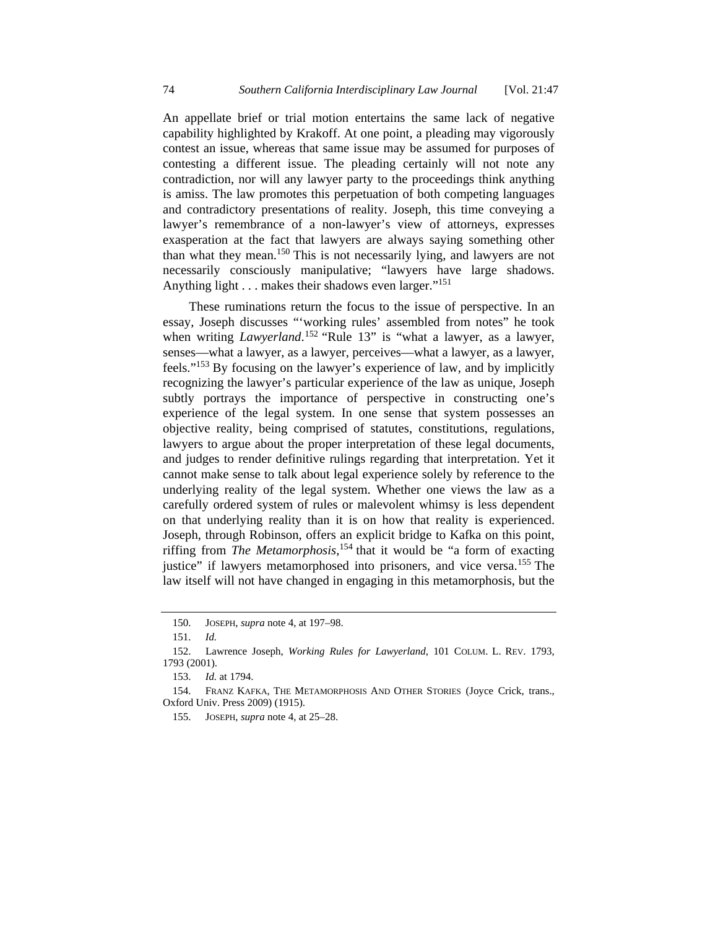An appellate brief or trial motion entertains the same lack of negative capability highlighted by Krakoff. At one point, a pleading may vigorously contest an issue, whereas that same issue may be assumed for purposes of contesting a different issue. The pleading certainly will not note any contradiction, nor will any lawyer party to the proceedings think anything is amiss. The law promotes this perpetuation of both competing languages and contradictory presentations of reality. Joseph, this time conveying a lawyer's remembrance of a non-lawyer's view of attorneys, expresses exasperation at the fact that lawyers are always saying something other than what they mean.150 This is not necessarily lying, and lawyers are not necessarily consciously manipulative; "lawyers have large shadows. Anything light . . . makes their shadows even larger."<sup>151</sup>

These ruminations return the focus to the issue of perspective. In an essay, Joseph discusses "'working rules' assembled from notes" he took when writing *Lawyerland*.<sup>152</sup> "Rule 13" is "what a lawyer, as a lawyer, senses—what a lawyer, as a lawyer, perceives—what a lawyer, as a lawyer, feels."153 By focusing on the lawyer's experience of law, and by implicitly recognizing the lawyer's particular experience of the law as unique, Joseph subtly portrays the importance of perspective in constructing one's experience of the legal system. In one sense that system possesses an objective reality, being comprised of statutes, constitutions, regulations, lawyers to argue about the proper interpretation of these legal documents, and judges to render definitive rulings regarding that interpretation. Yet it cannot make sense to talk about legal experience solely by reference to the underlying reality of the legal system. Whether one views the law as a carefully ordered system of rules or malevolent whimsy is less dependent on that underlying reality than it is on how that reality is experienced. Joseph, through Robinson, offers an explicit bridge to Kafka on this point, riffing from *The Metamorphosis*, 154 that it would be "a form of exacting justice" if lawyers metamorphosed into prisoners, and vice versa.<sup>155</sup> The law itself will not have changed in engaging in this metamorphosis, but the

 <sup>150.</sup> JOSEPH, *supra* note 4, at 197–98.

 <sup>151.</sup> *Id.*

 <sup>152.</sup> Lawrence Joseph, *Working Rules for Lawyerland*, 101 COLUM. L. REV. 1793, 1793 (2001).

 <sup>153.</sup> *Id.* at 1794.

 <sup>154.</sup> FRANZ KAFKA, THE METAMORPHOSIS AND OTHER STORIES (Joyce Crick, trans., Oxford Univ. Press 2009) (1915).

 <sup>155.</sup> JOSEPH, *supra* note 4, at 25–28.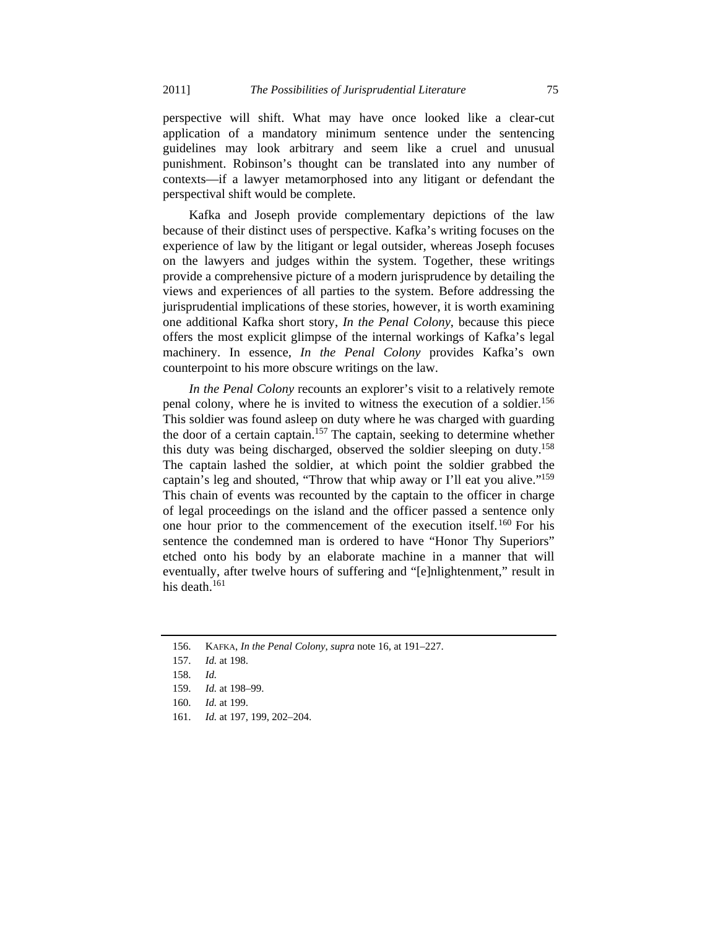perspective will shift. What may have once looked like a clear-cut application of a mandatory minimum sentence under the sentencing guidelines may look arbitrary and seem like a cruel and unusual punishment. Robinson's thought can be translated into any number of contexts—if a lawyer metamorphosed into any litigant or defendant the perspectival shift would be complete.

Kafka and Joseph provide complementary depictions of the law because of their distinct uses of perspective. Kafka's writing focuses on the experience of law by the litigant or legal outsider, whereas Joseph focuses on the lawyers and judges within the system. Together, these writings provide a comprehensive picture of a modern jurisprudence by detailing the views and experiences of all parties to the system. Before addressing the jurisprudential implications of these stories, however, it is worth examining one additional Kafka short story, *In the Penal Colony*, because this piece offers the most explicit glimpse of the internal workings of Kafka's legal machinery. In essence, *In the Penal Colony* provides Kafka's own counterpoint to his more obscure writings on the law.

*In the Penal Colony* recounts an explorer's visit to a relatively remote penal colony, where he is invited to witness the execution of a soldier.<sup>156</sup> This soldier was found asleep on duty where he was charged with guarding the door of a certain captain.<sup>157</sup> The captain, seeking to determine whether this duty was being discharged, observed the soldier sleeping on duty.<sup>158</sup> The captain lashed the soldier, at which point the soldier grabbed the captain's leg and shouted, "Throw that whip away or I'll eat you alive."159 This chain of events was recounted by the captain to the officer in charge of legal proceedings on the island and the officer passed a sentence only one hour prior to the commencement of the execution itself.160 For his sentence the condemned man is ordered to have "Honor Thy Superiors" etched onto his body by an elaborate machine in a manner that will eventually, after twelve hours of suffering and "[e]nlightenment," result in his death. $161$ 

 <sup>156.</sup> KAFKA, *In the Penal Colony*, *supra* note 16, at 191–227.

 <sup>157.</sup> *Id.* at 198.

 <sup>158.</sup> *Id.*

 <sup>159.</sup> *Id.* at 198–99.

 <sup>160.</sup> *Id.* at 199.

 <sup>161.</sup> *Id.* at 197, 199, 202–204.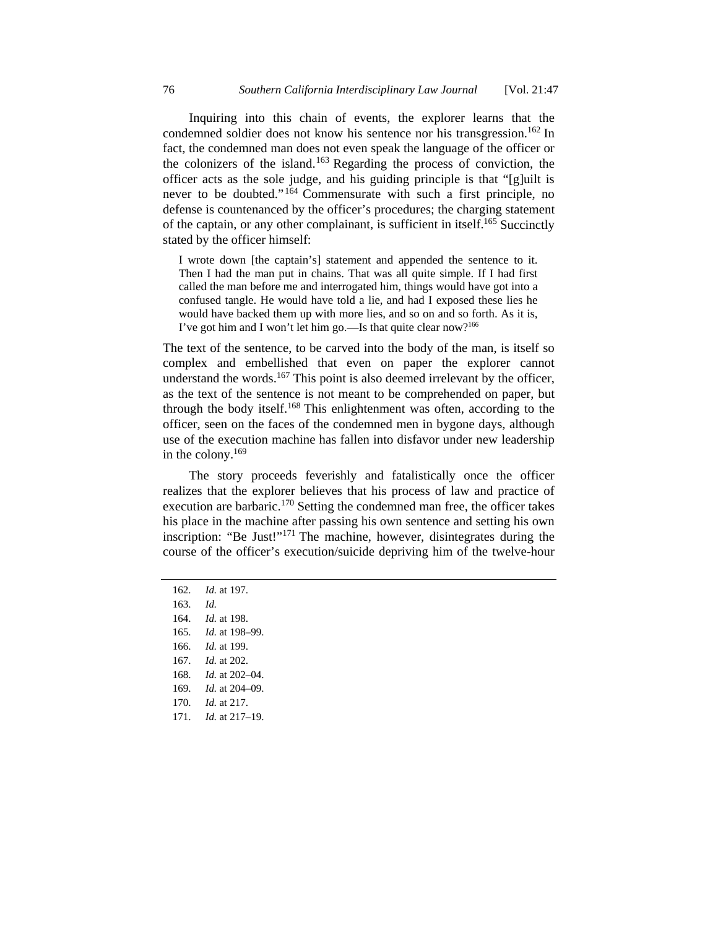Inquiring into this chain of events, the explorer learns that the condemned soldier does not know his sentence nor his transgression.<sup>162</sup> In fact, the condemned man does not even speak the language of the officer or the colonizers of the island.163 Regarding the process of conviction, the officer acts as the sole judge, and his guiding principle is that "[g]uilt is never to be doubted." 164 Commensurate with such a first principle, no defense is countenanced by the officer's procedures; the charging statement of the captain, or any other complainant, is sufficient in itself.<sup>165</sup> Succinctly stated by the officer himself:

I wrote down [the captain's] statement and appended the sentence to it. Then I had the man put in chains. That was all quite simple. If I had first called the man before me and interrogated him, things would have got into a confused tangle. He would have told a lie, and had I exposed these lies he would have backed them up with more lies, and so on and so forth. As it is, I've got him and I won't let him go.—Is that quite clear now?<sup>166</sup>

The text of the sentence, to be carved into the body of the man, is itself so complex and embellished that even on paper the explorer cannot understand the words. $167$  This point is also deemed irrelevant by the officer, as the text of the sentence is not meant to be comprehended on paper, but through the body itself.168 This enlightenment was often, according to the officer, seen on the faces of the condemned men in bygone days, although use of the execution machine has fallen into disfavor under new leadership in the colony. $169$ 

The story proceeds feverishly and fatalistically once the officer realizes that the explorer believes that his process of law and practice of execution are barbaric.<sup>170</sup> Setting the condemned man free, the officer takes his place in the machine after passing his own sentence and setting his own inscription: "Be Just!"<sup>171</sup> The machine, however, disintegrates during the course of the officer's execution/suicide depriving him of the twelve-hour

- 162. *Id.* at 197.
- 163. *Id.*
- 164. *Id.* at 198.
- 165. *Id.* at 198–99.
- 166. *Id.* at 199.
- 167. *Id.* at 202.
- 168. *Id.* at 202–04.
- 169. *Id.* at 204–09.
- 170. *Id.* at 217.
- 171. *Id.* at 217–19.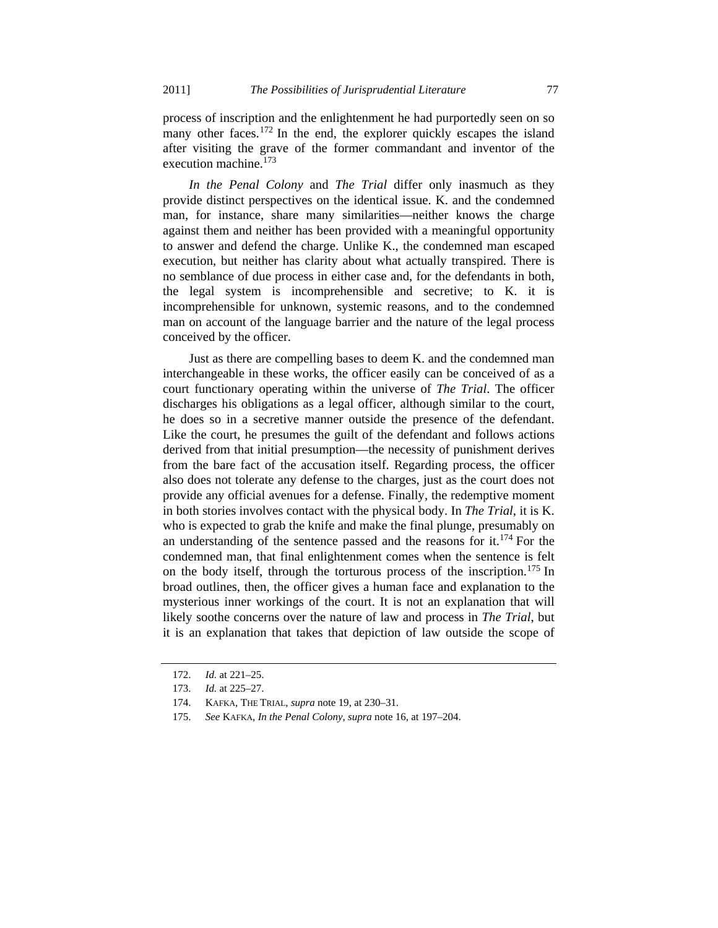process of inscription and the enlightenment he had purportedly seen on so many other faces.<sup>172</sup> In the end, the explorer quickly escapes the island after visiting the grave of the former commandant and inventor of the execution machine.173

*In the Penal Colony* and *The Trial* differ only inasmuch as they provide distinct perspectives on the identical issue. K. and the condemned man, for instance, share many similarities—neither knows the charge against them and neither has been provided with a meaningful opportunity to answer and defend the charge. Unlike K., the condemned man escaped execution, but neither has clarity about what actually transpired. There is no semblance of due process in either case and, for the defendants in both, the legal system is incomprehensible and secretive; to K. it is incomprehensible for unknown, systemic reasons, and to the condemned man on account of the language barrier and the nature of the legal process conceived by the officer.

Just as there are compelling bases to deem K. and the condemned man interchangeable in these works, the officer easily can be conceived of as a court functionary operating within the universe of *The Trial*. The officer discharges his obligations as a legal officer, although similar to the court, he does so in a secretive manner outside the presence of the defendant. Like the court, he presumes the guilt of the defendant and follows actions derived from that initial presumption—the necessity of punishment derives from the bare fact of the accusation itself. Regarding process, the officer also does not tolerate any defense to the charges, just as the court does not provide any official avenues for a defense. Finally, the redemptive moment in both stories involves contact with the physical body. In *The Trial*, it is K. who is expected to grab the knife and make the final plunge, presumably on an understanding of the sentence passed and the reasons for it.<sup>174</sup> For the condemned man, that final enlightenment comes when the sentence is felt on the body itself, through the torturous process of the inscription.175 In broad outlines, then, the officer gives a human face and explanation to the mysterious inner workings of the court. It is not an explanation that will likely soothe concerns over the nature of law and process in *The Trial*, but it is an explanation that takes that depiction of law outside the scope of

 <sup>172.</sup> *Id.* at 221–25.

 <sup>173.</sup> *Id.* at 225–27.

 <sup>174.</sup> KAFKA, THE TRIAL, *supra* note 19, at 230–31.

 <sup>175.</sup> *See* KAFKA, *In the Penal Colony*, *supra* note 16, at 197–204.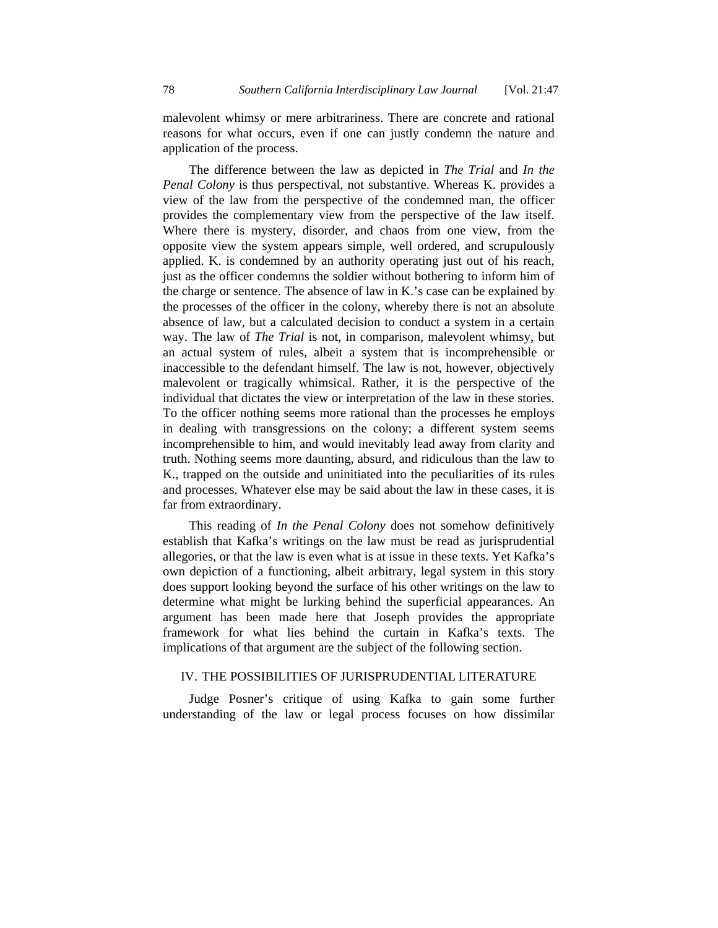malevolent whimsy or mere arbitrariness. There are concrete and rational reasons for what occurs, even if one can justly condemn the nature and application of the process.

The difference between the law as depicted in *The Trial* and *In the Penal Colony* is thus perspectival, not substantive. Whereas K. provides a view of the law from the perspective of the condemned man, the officer provides the complementary view from the perspective of the law itself. Where there is mystery, disorder, and chaos from one view, from the opposite view the system appears simple, well ordered, and scrupulously applied. K. is condemned by an authority operating just out of his reach, just as the officer condemns the soldier without bothering to inform him of the charge or sentence. The absence of law in K.'s case can be explained by the processes of the officer in the colony, whereby there is not an absolute absence of law, but a calculated decision to conduct a system in a certain way. The law of *The Trial* is not, in comparison, malevolent whimsy, but an actual system of rules, albeit a system that is incomprehensible or inaccessible to the defendant himself. The law is not, however, objectively malevolent or tragically whimsical. Rather, it is the perspective of the individual that dictates the view or interpretation of the law in these stories. To the officer nothing seems more rational than the processes he employs in dealing with transgressions on the colony; a different system seems incomprehensible to him, and would inevitably lead away from clarity and truth. Nothing seems more daunting, absurd, and ridiculous than the law to K., trapped on the outside and uninitiated into the peculiarities of its rules and processes. Whatever else may be said about the law in these cases, it is far from extraordinary.

This reading of *In the Penal Colony* does not somehow definitively establish that Kafka's writings on the law must be read as jurisprudential allegories, or that the law is even what is at issue in these texts. Yet Kafka's own depiction of a functioning, albeit arbitrary, legal system in this story does support looking beyond the surface of his other writings on the law to determine what might be lurking behind the superficial appearances. An argument has been made here that Joseph provides the appropriate framework for what lies behind the curtain in Kafka's texts. The implications of that argument are the subject of the following section.

## IV. THE POSSIBILITIES OF JURISPRUDENTIAL LITERATURE

Judge Posner's critique of using Kafka to gain some further understanding of the law or legal process focuses on how dissimilar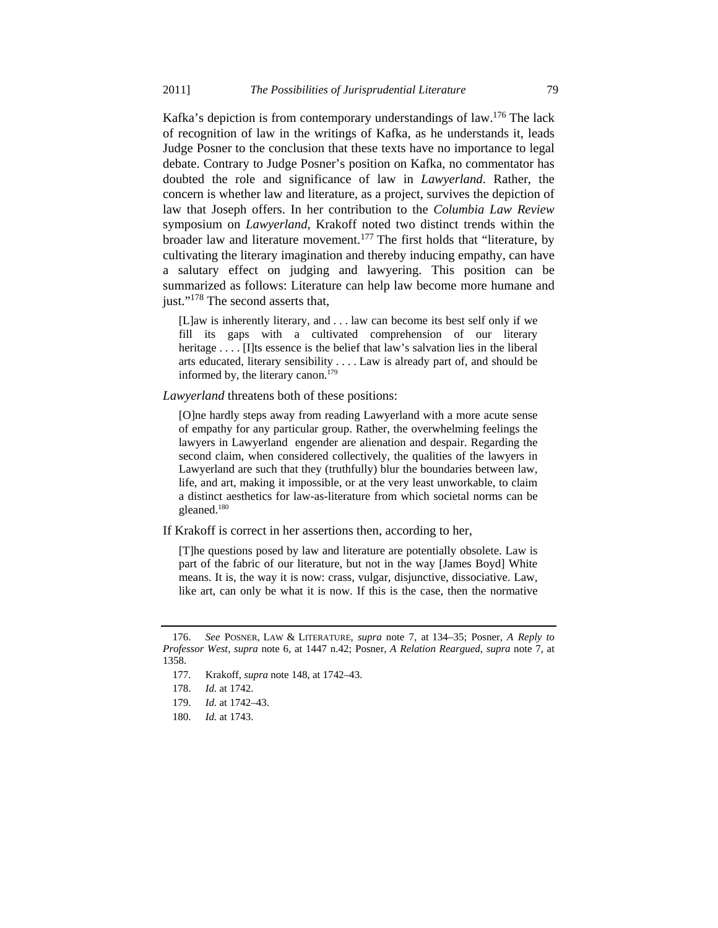Kafka's depiction is from contemporary understandings of law.176 The lack of recognition of law in the writings of Kafka, as he understands it, leads Judge Posner to the conclusion that these texts have no importance to legal debate. Contrary to Judge Posner's position on Kafka, no commentator has doubted the role and significance of law in *Lawyerland*. Rather, the concern is whether law and literature, as a project, survives the depiction of law that Joseph offers. In her contribution to the *Columbia Law Review* symposium on *Lawyerland*, Krakoff noted two distinct trends within the broader law and literature movement.177 The first holds that "literature, by cultivating the literary imagination and thereby inducing empathy, can have a salutary effect on judging and lawyering. This position can be summarized as follows: Literature can help law become more humane and just."<sup>178</sup> The second asserts that,

[L]aw is inherently literary, and . . . law can become its best self only if we fill its gaps with a cultivated comprehension of our literary heritage . . . . [I]ts essence is the belief that law's salvation lies in the liberal arts educated, literary sensibility . . . . Law is already part of, and should be informed by, the literary canon.<sup>179</sup>

*Lawyerland* threatens both of these positions:

[O]ne hardly steps away from reading Lawyerland with a more acute sense of empathy for any particular group. Rather, the overwhelming feelings the lawyers in Lawyerland engender are alienation and despair. Regarding the second claim, when considered collectively, the qualities of the lawyers in Lawyerland are such that they (truthfully) blur the boundaries between law, life, and art, making it impossible, or at the very least unworkable, to claim a distinct aesthetics for law-as-literature from which societal norms can be gleaned.<sup>180</sup>

If Krakoff is correct in her assertions then, according to her,

[T]he questions posed by law and literature are potentially obsolete. Law is part of the fabric of our literature, but not in the way [James Boyd] White means. It is, the way it is now: crass, vulgar, disjunctive, dissociative. Law, like art, can only be what it is now. If this is the case, then the normative

 <sup>176.</sup> *See* POSNER, LAW & LITERATURE, *supra* note 7, at 134–35; Posner, *A Reply to Professor West*, *supra* note 6, at 1447 n.42; Posner, *A Relation Reargued*, *supra* note 7, at 1358.

 <sup>177.</sup> Krakoff, *supra* note 148, at 1742–43.

 <sup>178.</sup> *Id.* at 1742.

 <sup>179.</sup> *Id.* at 1742–43.

 <sup>180.</sup> *Id.* at 1743.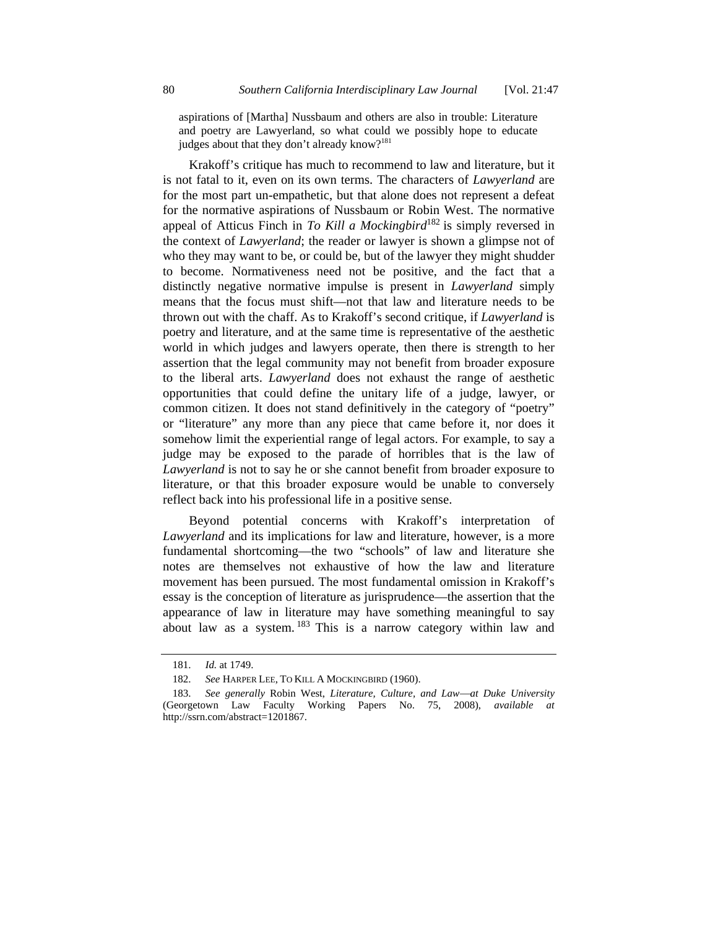aspirations of [Martha] Nussbaum and others are also in trouble: Literature and poetry are Lawyerland, so what could we possibly hope to educate judges about that they don't already know?<sup>181</sup>

Krakoff's critique has much to recommend to law and literature, but it is not fatal to it, even on its own terms. The characters of *Lawyerland* are for the most part un-empathetic, but that alone does not represent a defeat for the normative aspirations of Nussbaum or Robin West. The normative appeal of Atticus Finch in *To Kill a Mockingbird*182 is simply reversed in the context of *Lawyerland*; the reader or lawyer is shown a glimpse not of who they may want to be, or could be, but of the lawyer they might shudder to become. Normativeness need not be positive, and the fact that a distinctly negative normative impulse is present in *Lawyerland* simply means that the focus must shift—not that law and literature needs to be thrown out with the chaff. As to Krakoff's second critique, if *Lawyerland* is poetry and literature, and at the same time is representative of the aesthetic world in which judges and lawyers operate, then there is strength to her assertion that the legal community may not benefit from broader exposure to the liberal arts. *Lawyerland* does not exhaust the range of aesthetic opportunities that could define the unitary life of a judge, lawyer, or common citizen. It does not stand definitively in the category of "poetry" or "literature" any more than any piece that came before it, nor does it somehow limit the experiential range of legal actors. For example, to say a judge may be exposed to the parade of horribles that is the law of *Lawyerland* is not to say he or she cannot benefit from broader exposure to literature, or that this broader exposure would be unable to conversely reflect back into his professional life in a positive sense.

Beyond potential concerns with Krakoff's interpretation of *Lawyerland* and its implications for law and literature, however, is a more fundamental shortcoming—the two "schools" of law and literature she notes are themselves not exhaustive of how the law and literature movement has been pursued. The most fundamental omission in Krakoff's essay is the conception of literature as jurisprudence—the assertion that the appearance of law in literature may have something meaningful to say about law as a system.  $183$  This is a narrow category within law and

 <sup>181.</sup> *Id.* at 1749.

 <sup>182.</sup> *See* HARPER LEE, TO KILL A MOCKINGBIRD (1960).

<sup>183.</sup> See generally Robin West, *Literature, Culture, and Law—at Duke University* (Georgetown Law Faculty Working Papers No. 75, 2008), *available* http://ssrn.com/abstract=1201867.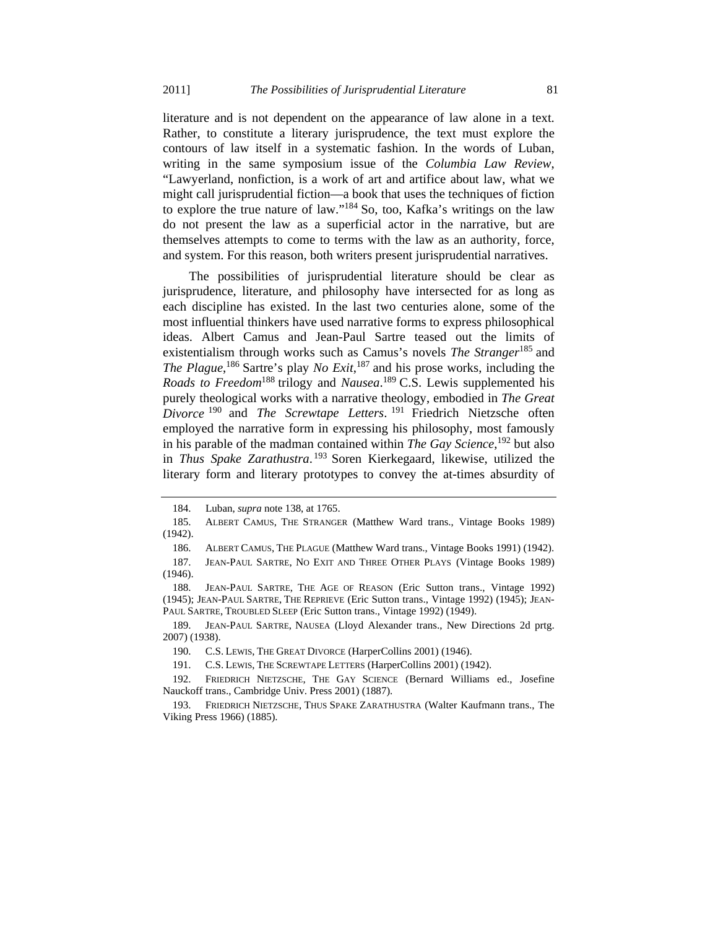literature and is not dependent on the appearance of law alone in a text. Rather, to constitute a literary jurisprudence, the text must explore the contours of law itself in a systematic fashion. In the words of Luban, writing in the same symposium issue of the *Columbia Law Review*, "Lawyerland, nonfiction, is a work of art and artifice about law, what we might call jurisprudential fiction—a book that uses the techniques of fiction to explore the true nature of law."184 So, too, Kafka's writings on the law do not present the law as a superficial actor in the narrative, but are themselves attempts to come to terms with the law as an authority, force, and system. For this reason, both writers present jurisprudential narratives.

The possibilities of jurisprudential literature should be clear as jurisprudence, literature, and philosophy have intersected for as long as each discipline has existed. In the last two centuries alone, some of the most influential thinkers have used narrative forms to express philosophical ideas. Albert Camus and Jean-Paul Sartre teased out the limits of existentialism through works such as Camus's novels *The Stranger*185 and *The Plague*, 186 Sartre's play *No Exit*, 187 and his prose works, including the *Roads to Freedom*188 trilogy and *Nausea*. 189 C.S. Lewis supplemented his purely theological works with a narrative theology, embodied in *The Great Divorce* 190 and *The Screwtape Letters*. 191 Friedrich Nietzsche often employed the narrative form in expressing his philosophy, most famously in his parable of the madman contained within *The Gay Science*, 192 but also in *Thus Spake Zarathustra*. 193 Soren Kierkegaard, likewise, utilized the literary form and literary prototypes to convey the at-times absurdity of

 <sup>184.</sup> Luban, *supra* note 138, at 1765.

 <sup>185.</sup> ALBERT CAMUS, THE STRANGER (Matthew Ward trans., Vintage Books 1989) (1942).

 <sup>186.</sup> ALBERT CAMUS, THE PLAGUE (Matthew Ward trans., Vintage Books 1991) (1942).

 <sup>187.</sup> JEAN-PAUL SARTRE, NO EXIT AND THREE OTHER PLAYS (Vintage Books 1989) (1946).

 <sup>188.</sup> JEAN-PAUL SARTRE, THE AGE OF REASON (Eric Sutton trans., Vintage 1992) (1945); JEAN-PAUL SARTRE, THE REPRIEVE (Eric Sutton trans., Vintage 1992) (1945); JEAN-PAUL SARTRE, TROUBLED SLEEP (Eric Sutton trans., Vintage 1992) (1949).

 <sup>189.</sup> JEAN-PAUL SARTRE, NAUSEA (Lloyd Alexander trans., New Directions 2d prtg. 2007) (1938).

 <sup>190.</sup> C.S. LEWIS, THE GREAT DIVORCE (HarperCollins 2001) (1946).

 <sup>191.</sup> C.S. LEWIS, THE SCREWTAPE LETTERS (HarperCollins 2001) (1942).

 <sup>192.</sup> FRIEDRICH NIETZSCHE, THE GAY SCIENCE (Bernard Williams ed., Josefine Nauckoff trans., Cambridge Univ. Press 2001) (1887).

 <sup>193.</sup> FRIEDRICH NIETZSCHE, THUS SPAKE ZARATHUSTRA (Walter Kaufmann trans., The Viking Press 1966) (1885).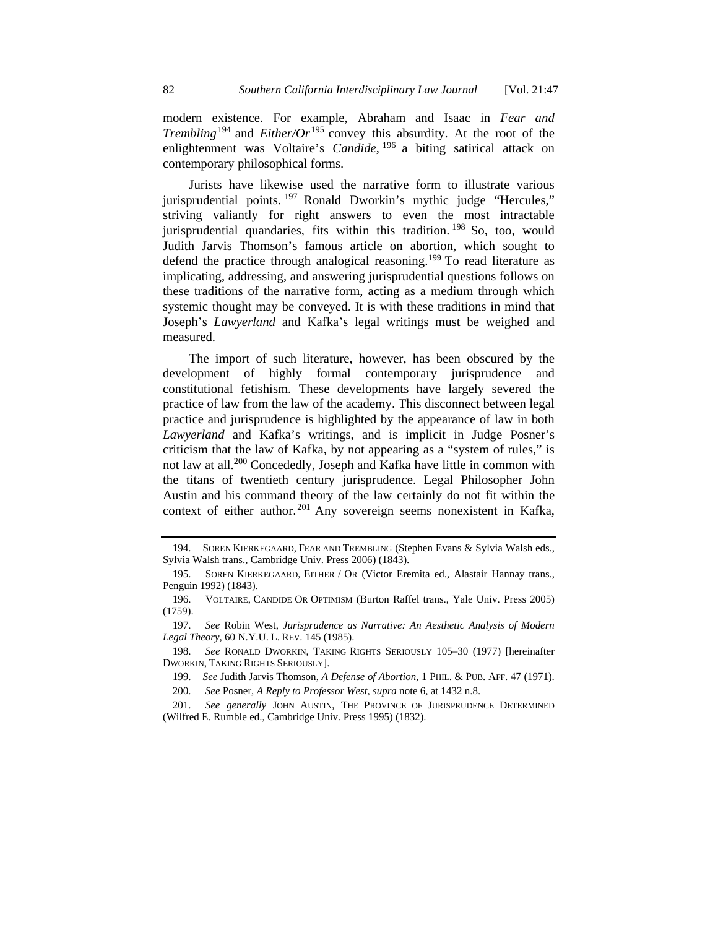modern existence. For example, Abraham and Isaac in *Fear and Trembling*<sup>194</sup> and *Either/Or*<sup>195</sup> convey this absurdity. At the root of the enlightenment was Voltaire's *Candide*, <sup>196</sup> a biting satirical attack on contemporary philosophical forms.

Jurists have likewise used the narrative form to illustrate various jurisprudential points. 197 Ronald Dworkin's mythic judge "Hercules," striving valiantly for right answers to even the most intractable jurisprudential quandaries, fits within this tradition. 198 So, too, would Judith Jarvis Thomson's famous article on abortion, which sought to defend the practice through analogical reasoning.<sup>199</sup> To read literature as implicating, addressing, and answering jurisprudential questions follows on these traditions of the narrative form, acting as a medium through which systemic thought may be conveyed. It is with these traditions in mind that Joseph's *Lawyerland* and Kafka's legal writings must be weighed and measured.

The import of such literature, however, has been obscured by the development of highly formal contemporary jurisprudence and constitutional fetishism. These developments have largely severed the practice of law from the law of the academy. This disconnect between legal practice and jurisprudence is highlighted by the appearance of law in both *Lawyerland* and Kafka's writings, and is implicit in Judge Posner's criticism that the law of Kafka, by not appearing as a "system of rules," is not law at all.200 Concededly, Joseph and Kafka have little in common with the titans of twentieth century jurisprudence. Legal Philosopher John Austin and his command theory of the law certainly do not fit within the context of either author.<sup>201</sup> Any sovereign seems nonexistent in Kafka,

 <sup>194.</sup> SOREN KIERKEGAARD, FEAR AND TREMBLING (Stephen Evans & Sylvia Walsh eds., Sylvia Walsh trans., Cambridge Univ. Press 2006) (1843).

 <sup>195.</sup> SOREN KIERKEGAARD, EITHER / OR (Victor Eremita ed., Alastair Hannay trans., Penguin 1992) (1843).

 <sup>196.</sup> VOLTAIRE, CANDIDE OR OPTIMISM (Burton Raffel trans., Yale Univ. Press 2005) (1759).

 <sup>197.</sup> *See* Robin West, *Jurisprudence as Narrative: An Aesthetic Analysis of Modern Legal Theory*, 60 N.Y.U. L. REV. 145 (1985).

 <sup>198.</sup> *See* RONALD DWORKIN, TAKING RIGHTS SERIOUSLY 105–30 (1977) [hereinafter DWORKIN, TAKING RIGHTS SERIOUSLY].

 <sup>199.</sup> *See* Judith Jarvis Thomson, *A Defense of Abortion*, 1 PHIL. & PUB. AFF. 47 (1971).

 <sup>200.</sup> *See* Posner, *A Reply to Professor West*, *supra* note 6, at 1432 n.8.

 <sup>201.</sup> *See generally* JOHN AUSTIN, THE PROVINCE OF JURISPRUDENCE DETERMINED (Wilfred E. Rumble ed., Cambridge Univ. Press 1995) (1832).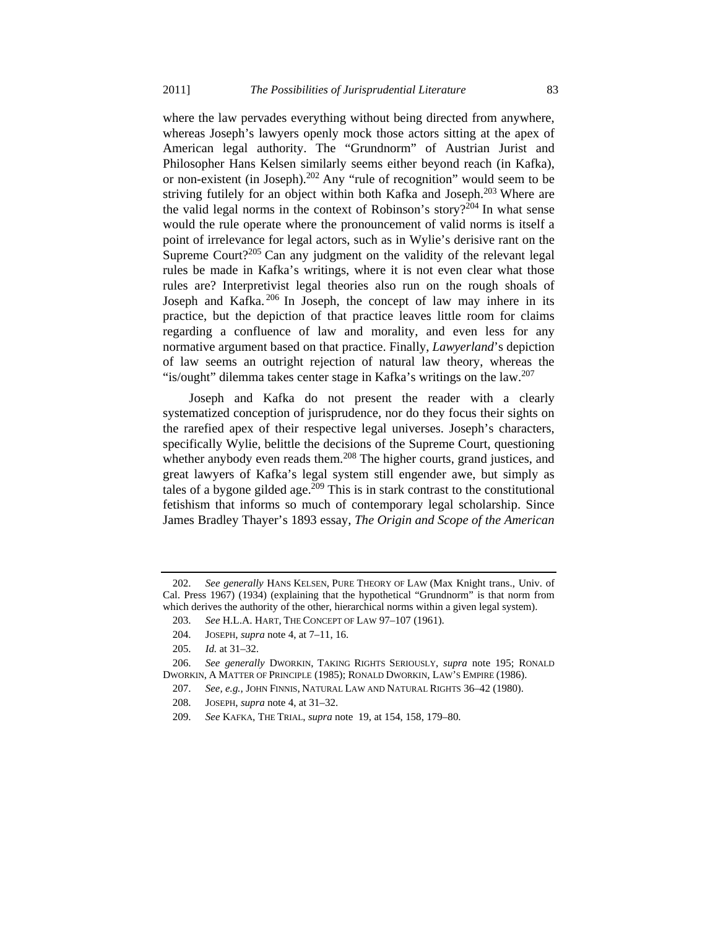where the law pervades everything without being directed from anywhere, whereas Joseph's lawyers openly mock those actors sitting at the apex of American legal authority. The "Grundnorm" of Austrian Jurist and Philosopher Hans Kelsen similarly seems either beyond reach (in Kafka), or non-existent (in Joseph). $202$  Any "rule of recognition" would seem to be striving futilely for an object within both Kafka and Joseph.<sup>203</sup> Where are the valid legal norms in the context of Robinson's story?<sup>204</sup> In what sense would the rule operate where the pronouncement of valid norms is itself a point of irrelevance for legal actors, such as in Wylie's derisive rant on the Supreme Court? $205$  Can any judgment on the validity of the relevant legal rules be made in Kafka's writings, where it is not even clear what those rules are? Interpretivist legal theories also run on the rough shoals of Joseph and Kafka.<sup>206</sup> In Joseph, the concept of law may inhere in its practice, but the depiction of that practice leaves little room for claims regarding a confluence of law and morality, and even less for any normative argument based on that practice. Finally, *Lawyerland*'s depiction of law seems an outright rejection of natural law theory, whereas the "is/ought" dilemma takes center stage in Kafka's writings on the law.  $207$ 

Joseph and Kafka do not present the reader with a clearly systematized conception of jurisprudence, nor do they focus their sights on the rarefied apex of their respective legal universes. Joseph's characters, specifically Wylie, belittle the decisions of the Supreme Court, questioning whether anybody even reads them.<sup>208</sup> The higher courts, grand justices, and great lawyers of Kafka's legal system still engender awe, but simply as tales of a bygone gilded age.<sup>209</sup> This is in stark contrast to the constitutional fetishism that informs so much of contemporary legal scholarship. Since James Bradley Thayer's 1893 essay, *The Origin and Scope of the American* 

 <sup>202.</sup> *See generally* HANS KELSEN, PURE THEORY OF LAW (Max Knight trans., Univ. of Cal. Press 1967) (1934) (explaining that the hypothetical "Grundnorm" is that norm from which derives the authority of the other, hierarchical norms within a given legal system).

 <sup>203.</sup> *See* H.L.A. HART, THE CONCEPT OF LAW 97–107 (1961).

 <sup>204.</sup> JOSEPH, *supra* note 4, at 7–11, 16.

 <sup>205.</sup> *Id.* at 31–32.

 <sup>206.</sup> *See generally* DWORKIN, TAKING RIGHTS SERIOUSLY, *supra* note 195; RONALD DWORKIN, A MATTER OF PRINCIPLE (1985); RONALD DWORKIN, LAW'S EMPIRE (1986).

 <sup>207.</sup> *See, e.g.*, JOHN FINNIS, NATURAL LAW AND NATURAL RIGHTS 36–42 (1980).

 <sup>208.</sup> JOSEPH, *supra* note 4, at 31–32.

 <sup>209.</sup> *See* KAFKA, THE TRIAL, *supra* note 19, at 154, 158, 179–80.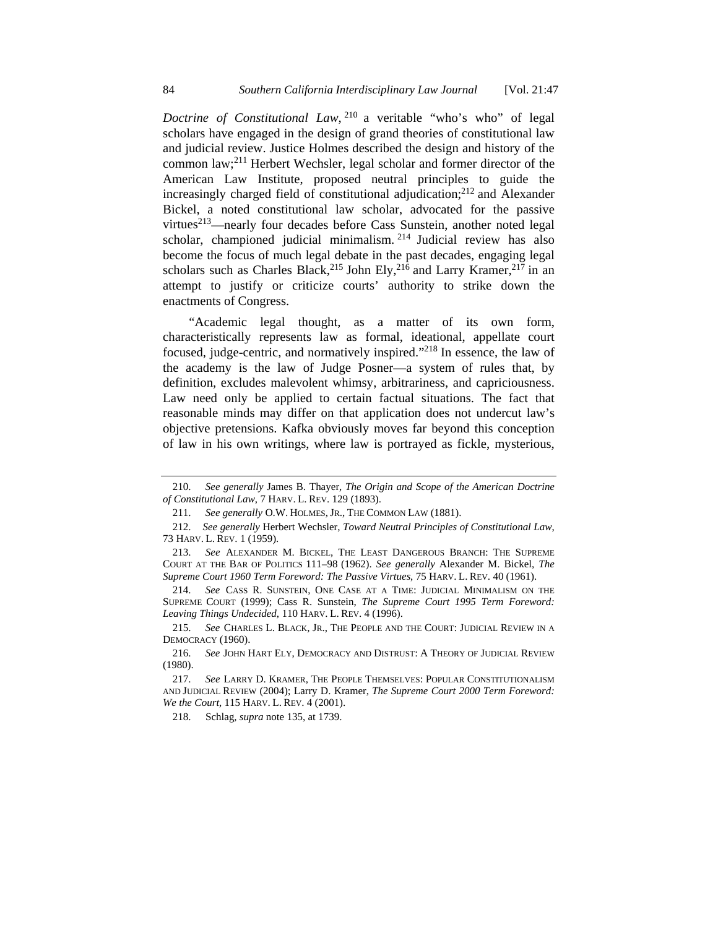*Doctrine of Constitutional Law*, 210 a veritable "who's who" of legal scholars have engaged in the design of grand theories of constitutional law and judicial review. Justice Holmes described the design and history of the common law;211 Herbert Wechsler, legal scholar and former director of the American Law Institute, proposed neutral principles to guide the increasingly charged field of constitutional adjudication; $^{212}$  and Alexander Bickel, a noted constitutional law scholar, advocated for the passive virtues<sup>213</sup>—nearly four decades before Cass Sunstein, another noted legal scholar, championed judicial minimalism. 214 Judicial review has also become the focus of much legal debate in the past decades, engaging legal scholars such as Charles Black,<sup>215</sup> John Ely,<sup>216</sup> and Larry Kramer,<sup>217</sup> in an attempt to justify or criticize courts' authority to strike down the enactments of Congress.

"Academic legal thought, as a matter of its own form, characteristically represents law as formal, ideational, appellate court focused, judge-centric, and normatively inspired."218 In essence, the law of the academy is the law of Judge Posner—a system of rules that, by definition, excludes malevolent whimsy, arbitrariness, and capriciousness. Law need only be applied to certain factual situations. The fact that reasonable minds may differ on that application does not undercut law's objective pretensions. Kafka obviously moves far beyond this conception of law in his own writings, where law is portrayed as fickle, mysterious,

 <sup>210.</sup> *See generally* James B. Thayer, *The Origin and Scope of the American Doctrine of Constitutional Law*, 7 HARV. L. REV. 129 (1893).

 <sup>211.</sup> *See generally* O.W. HOLMES, JR., THE COMMON LAW (1881).

 <sup>212.</sup> *See generally* Herbert Wechsler, *Toward Neutral Principles of Constitutional Law*, 73 HARV. L. REV. 1 (1959).

 <sup>213.</sup> *See* ALEXANDER M. BICKEL, THE LEAST DANGEROUS BRANCH: THE SUPREME COURT AT THE BAR OF POLITICS 111–98 (1962). *See generally* Alexander M. Bickel, *The Supreme Court 1960 Term Foreword: The Passive Virtues*, 75 HARV. L. REV. 40 (1961).

 <sup>214.</sup> *See* CASS R. SUNSTEIN, ONE CASE AT A TIME: JUDICIAL MINIMALISM ON THE SUPREME COURT (1999); Cass R. Sunstein, *The Supreme Court 1995 Term Foreword: Leaving Things Undecided*, 110 HARV. L. REV. 4 (1996).

 <sup>215.</sup> *See* CHARLES L. BLACK, JR., THE PEOPLE AND THE COURT: JUDICIAL REVIEW IN A DEMOCRACY (1960).

 <sup>216.</sup> *See* JOHN HART ELY, DEMOCRACY AND DISTRUST: A THEORY OF JUDICIAL REVIEW (1980).

 <sup>217.</sup> *See* LARRY D. KRAMER, THE PEOPLE THEMSELVES: POPULAR CONSTITUTIONALISM AND JUDICIAL REVIEW (2004); Larry D. Kramer, *The Supreme Court 2000 Term Foreword: We the Court*, 115 HARV. L. REV. 4 (2001).

 <sup>218.</sup> Schlag, *supra* note 135, at 1739.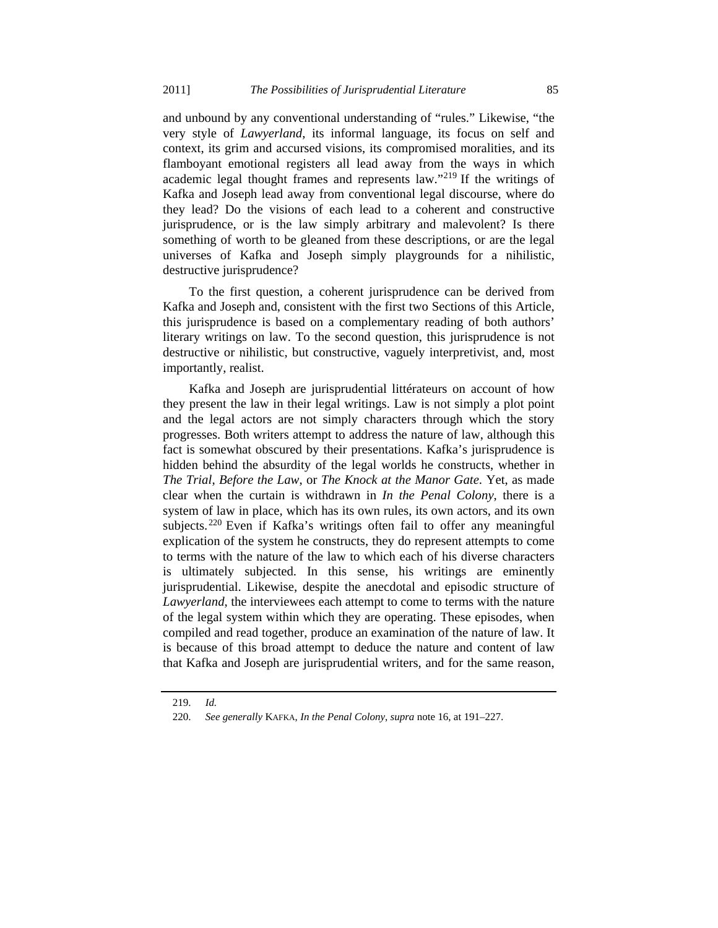and unbound by any conventional understanding of "rules." Likewise, "the very style of *Lawyerland*, its informal language, its focus on self and context, its grim and accursed visions, its compromised moralities, and its flamboyant emotional registers all lead away from the ways in which academic legal thought frames and represents law."219 If the writings of Kafka and Joseph lead away from conventional legal discourse, where do they lead? Do the visions of each lead to a coherent and constructive jurisprudence, or is the law simply arbitrary and malevolent? Is there something of worth to be gleaned from these descriptions, or are the legal universes of Kafka and Joseph simply playgrounds for a nihilistic, destructive jurisprudence?

To the first question, a coherent jurisprudence can be derived from Kafka and Joseph and, consistent with the first two Sections of this Article, this jurisprudence is based on a complementary reading of both authors' literary writings on law. To the second question, this jurisprudence is not destructive or nihilistic, but constructive, vaguely interpretivist, and, most importantly, realist.

Kafka and Joseph are jurisprudential littérateurs on account of how they present the law in their legal writings. Law is not simply a plot point and the legal actors are not simply characters through which the story progresses. Both writers attempt to address the nature of law, although this fact is somewhat obscured by their presentations. Kafka's jurisprudence is hidden behind the absurdity of the legal worlds he constructs, whether in *The Trial*, *Before the Law*, or *The Knock at the Manor Gate*. Yet, as made clear when the curtain is withdrawn in *In the Penal Colony*, there is a system of law in place, which has its own rules, its own actors, and its own subjects.<sup>220</sup> Even if Kafka's writings often fail to offer any meaningful explication of the system he constructs, they do represent attempts to come to terms with the nature of the law to which each of his diverse characters is ultimately subjected. In this sense, his writings are eminently jurisprudential. Likewise, despite the anecdotal and episodic structure of *Lawyerland*, the interviewees each attempt to come to terms with the nature of the legal system within which they are operating. These episodes, when compiled and read together, produce an examination of the nature of law. It is because of this broad attempt to deduce the nature and content of law that Kafka and Joseph are jurisprudential writers, and for the same reason,

 <sup>219.</sup> *Id.*

 <sup>220.</sup> *See generally* KAFKA, *In the Penal Colony*, *supra* note 16, at 191–227.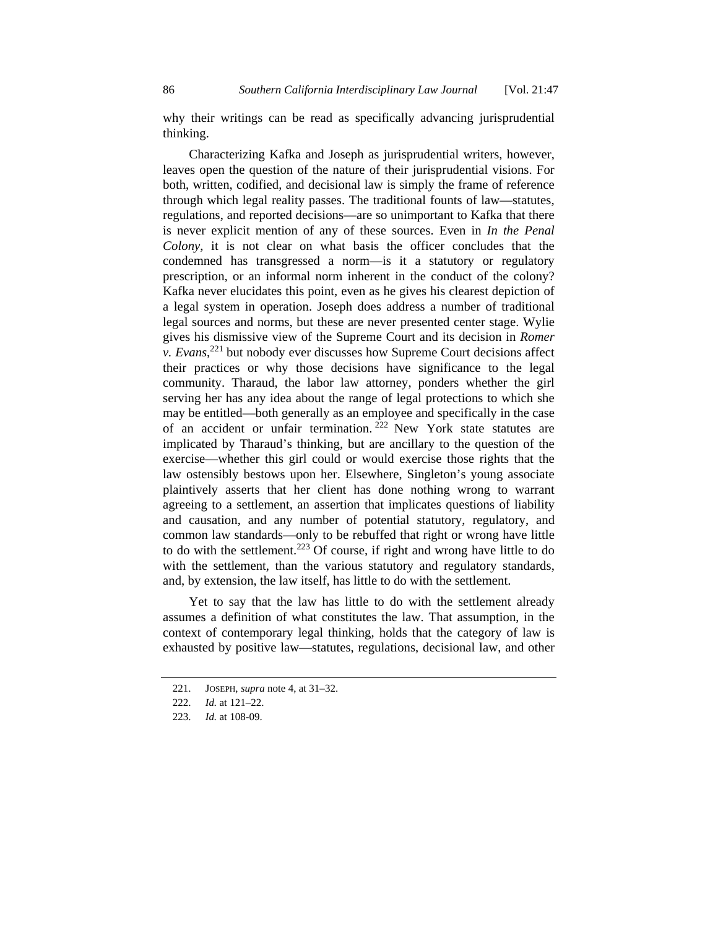why their writings can be read as specifically advancing jurisprudential thinking.

Characterizing Kafka and Joseph as jurisprudential writers, however, leaves open the question of the nature of their jurisprudential visions. For both, written, codified, and decisional law is simply the frame of reference through which legal reality passes. The traditional founts of law—statutes, regulations, and reported decisions—are so unimportant to Kafka that there is never explicit mention of any of these sources. Even in *In the Penal Colony*, it is not clear on what basis the officer concludes that the condemned has transgressed a norm—is it a statutory or regulatory prescription, or an informal norm inherent in the conduct of the colony? Kafka never elucidates this point, even as he gives his clearest depiction of a legal system in operation. Joseph does address a number of traditional legal sources and norms, but these are never presented center stage. Wylie gives his dismissive view of the Supreme Court and its decision in *Romer v. Evans*, 221 but nobody ever discusses how Supreme Court decisions affect their practices or why those decisions have significance to the legal community. Tharaud, the labor law attorney, ponders whether the girl serving her has any idea about the range of legal protections to which she may be entitled—both generally as an employee and specifically in the case of an accident or unfair termination.  $222$  New York state statutes are implicated by Tharaud's thinking, but are ancillary to the question of the exercise—whether this girl could or would exercise those rights that the law ostensibly bestows upon her. Elsewhere, Singleton's young associate plaintively asserts that her client has done nothing wrong to warrant agreeing to a settlement, an assertion that implicates questions of liability and causation, and any number of potential statutory, regulatory, and common law standards—only to be rebuffed that right or wrong have little to do with the settlement.<sup>223</sup> Of course, if right and wrong have little to do with the settlement, than the various statutory and regulatory standards, and, by extension, the law itself, has little to do with the settlement.

Yet to say that the law has little to do with the settlement already assumes a definition of what constitutes the law. That assumption, in the context of contemporary legal thinking, holds that the category of law is exhausted by positive law—statutes, regulations, decisional law, and other

 <sup>221.</sup> JOSEPH, *supra* note 4, at 31–32.

 <sup>222.</sup> *Id.* at 121–22.

 <sup>223.</sup> *Id.* at 108-09.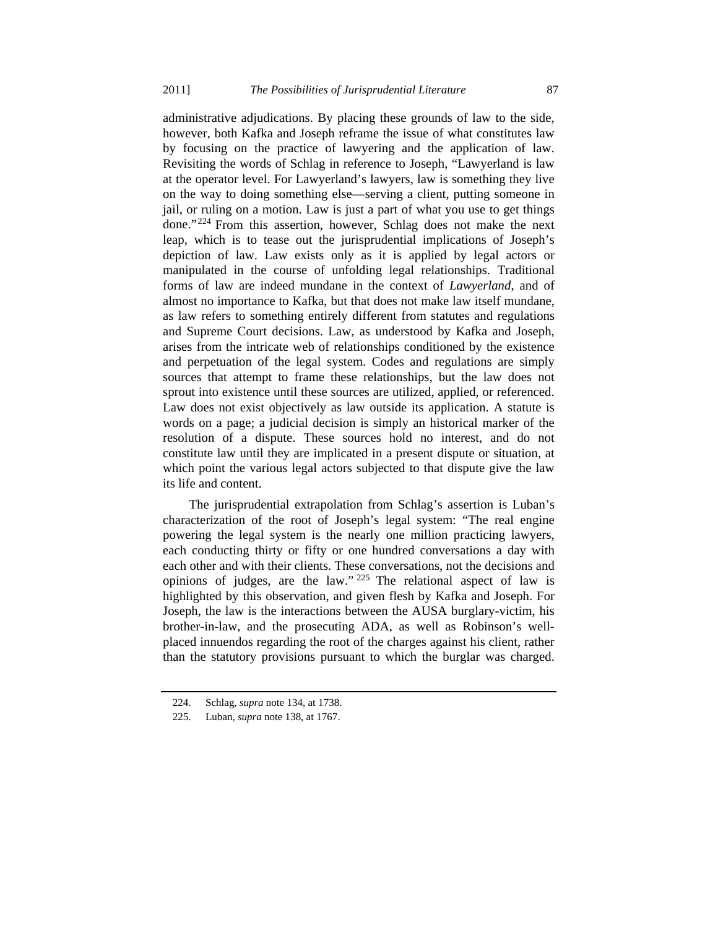administrative adjudications. By placing these grounds of law to the side, however, both Kafka and Joseph reframe the issue of what constitutes law by focusing on the practice of lawyering and the application of law. Revisiting the words of Schlag in reference to Joseph, "Lawyerland is law at the operator level. For Lawyerland's lawyers, law is something they live on the way to doing something else—serving a client, putting someone in jail, or ruling on a motion. Law is just a part of what you use to get things done."224 From this assertion, however, Schlag does not make the next leap, which is to tease out the jurisprudential implications of Joseph's depiction of law. Law exists only as it is applied by legal actors or manipulated in the course of unfolding legal relationships. Traditional forms of law are indeed mundane in the context of *Lawyerland*, and of almost no importance to Kafka, but that does not make law itself mundane, as law refers to something entirely different from statutes and regulations and Supreme Court decisions. Law, as understood by Kafka and Joseph, arises from the intricate web of relationships conditioned by the existence and perpetuation of the legal system. Codes and regulations are simply sources that attempt to frame these relationships, but the law does not sprout into existence until these sources are utilized, applied, or referenced. Law does not exist objectively as law outside its application. A statute is words on a page; a judicial decision is simply an historical marker of the resolution of a dispute. These sources hold no interest, and do not constitute law until they are implicated in a present dispute or situation, at which point the various legal actors subjected to that dispute give the law its life and content.

The jurisprudential extrapolation from Schlag's assertion is Luban's characterization of the root of Joseph's legal system: "The real engine powering the legal system is the nearly one million practicing lawyers, each conducting thirty or fifty or one hundred conversations a day with each other and with their clients. These conversations, not the decisions and opinions of judges, are the law." 225 The relational aspect of law is highlighted by this observation, and given flesh by Kafka and Joseph. For Joseph, the law is the interactions between the AUSA burglary-victim, his brother-in-law, and the prosecuting ADA, as well as Robinson's wellplaced innuendos regarding the root of the charges against his client, rather than the statutory provisions pursuant to which the burglar was charged.

 <sup>224.</sup> Schlag, *supra* note 134, at 1738.

 <sup>225.</sup> Luban, *supra* note 138, at 1767.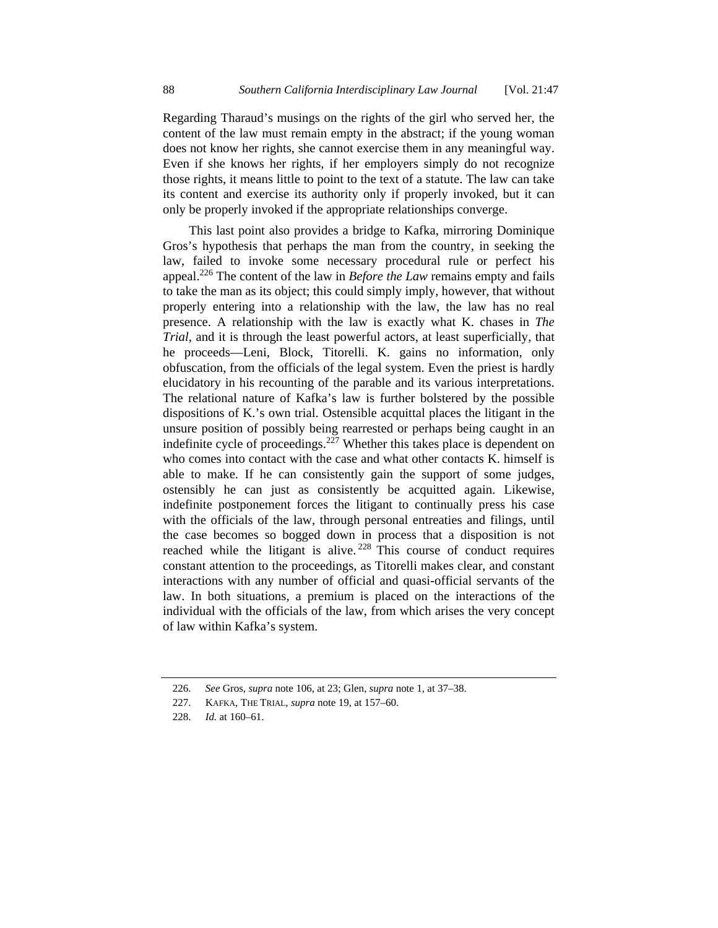Regarding Tharaud's musings on the rights of the girl who served her, the content of the law must remain empty in the abstract; if the young woman does not know her rights, she cannot exercise them in any meaningful way. Even if she knows her rights, if her employers simply do not recognize those rights, it means little to point to the text of a statute. The law can take its content and exercise its authority only if properly invoked, but it can only be properly invoked if the appropriate relationships converge.

This last point also provides a bridge to Kafka, mirroring Dominique Gros's hypothesis that perhaps the man from the country, in seeking the law, failed to invoke some necessary procedural rule or perfect his appeal.226 The content of the law in *Before the Law* remains empty and fails to take the man as its object; this could simply imply, however, that without properly entering into a relationship with the law, the law has no real presence. A relationship with the law is exactly what K. chases in *The Trial*, and it is through the least powerful actors, at least superficially, that he proceeds—Leni, Block, Titorelli. K. gains no information, only obfuscation, from the officials of the legal system. Even the priest is hardly elucidatory in his recounting of the parable and its various interpretations. The relational nature of Kafka's law is further bolstered by the possible dispositions of K.'s own trial. Ostensible acquittal places the litigant in the unsure position of possibly being rearrested or perhaps being caught in an indefinite cycle of proceedings.<sup>227</sup> Whether this takes place is dependent on who comes into contact with the case and what other contacts K. himself is able to make. If he can consistently gain the support of some judges, ostensibly he can just as consistently be acquitted again. Likewise, indefinite postponement forces the litigant to continually press his case with the officials of the law, through personal entreaties and filings, until the case becomes so bogged down in process that a disposition is not reached while the litigant is alive. 228 This course of conduct requires constant attention to the proceedings, as Titorelli makes clear, and constant interactions with any number of official and quasi-official servants of the law. In both situations, a premium is placed on the interactions of the individual with the officials of the law, from which arises the very concept of law within Kafka's system.

 <sup>226.</sup> *See* Gros, *supra* note 106, at 23; Glen, *supra* note 1, at 37–38.

 <sup>227.</sup> KAFKA, THE TRIAL, *supra* note 19, at 157–60.

 <sup>228.</sup> *Id.* at 160–61.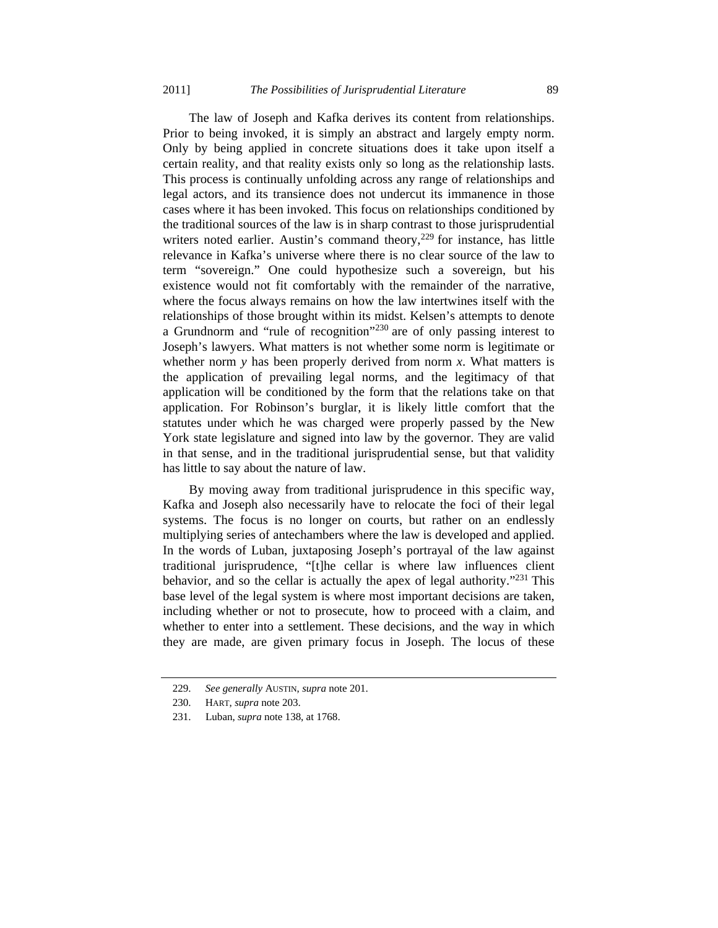The law of Joseph and Kafka derives its content from relationships. Prior to being invoked, it is simply an abstract and largely empty norm. Only by being applied in concrete situations does it take upon itself a certain reality, and that reality exists only so long as the relationship lasts. This process is continually unfolding across any range of relationships and legal actors, and its transience does not undercut its immanence in those cases where it has been invoked. This focus on relationships conditioned by the traditional sources of the law is in sharp contrast to those jurisprudential writers noted earlier. Austin's command theory, $229$  for instance, has little relevance in Kafka's universe where there is no clear source of the law to term "sovereign." One could hypothesize such a sovereign, but his existence would not fit comfortably with the remainder of the narrative, where the focus always remains on how the law intertwines itself with the relationships of those brought within its midst. Kelsen's attempts to denote a Grundnorm and "rule of recognition"230 are of only passing interest to Joseph's lawyers. What matters is not whether some norm is legitimate or whether norm  $y$  has been properly derived from norm  $x$ . What matters is the application of prevailing legal norms, and the legitimacy of that application will be conditioned by the form that the relations take on that application. For Robinson's burglar, it is likely little comfort that the statutes under which he was charged were properly passed by the New York state legislature and signed into law by the governor. They are valid in that sense, and in the traditional jurisprudential sense, but that validity has little to say about the nature of law.

By moving away from traditional jurisprudence in this specific way, Kafka and Joseph also necessarily have to relocate the foci of their legal systems. The focus is no longer on courts, but rather on an endlessly multiplying series of antechambers where the law is developed and applied. In the words of Luban, juxtaposing Joseph's portrayal of the law against traditional jurisprudence, "[t]he cellar is where law influences client behavior, and so the cellar is actually the apex of legal authority."<sup>231</sup> This base level of the legal system is where most important decisions are taken, including whether or not to prosecute, how to proceed with a claim, and whether to enter into a settlement. These decisions, and the way in which they are made, are given primary focus in Joseph. The locus of these

 <sup>229.</sup> *See generally* AUSTIN, *supra* note 201.

 <sup>230.</sup> HART, *supra* note 203.

 <sup>231.</sup> Luban, *supra* note 138, at 1768.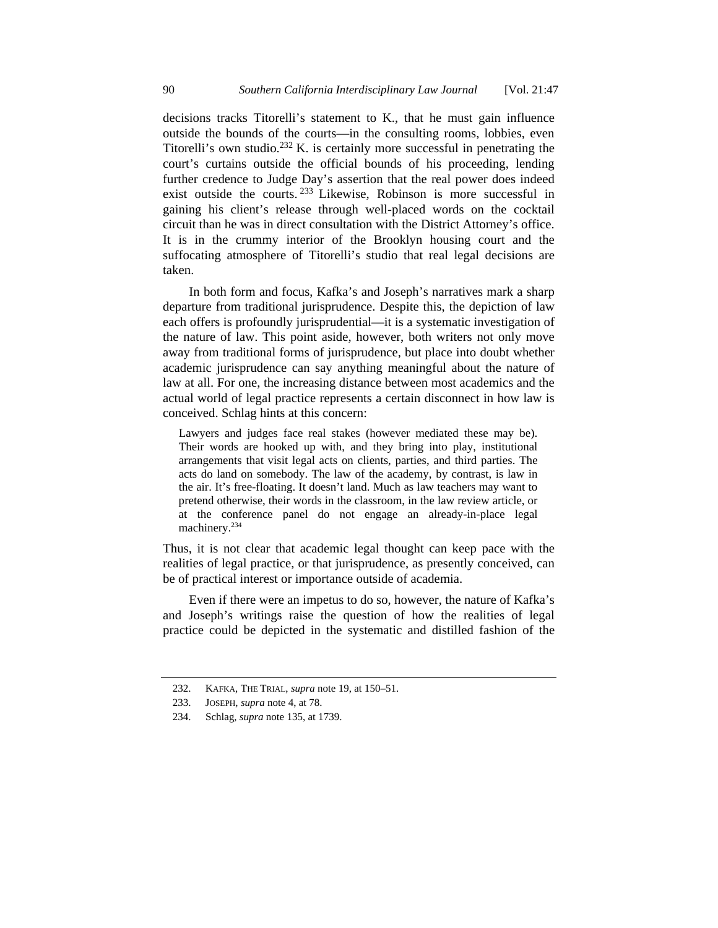decisions tracks Titorelli's statement to K., that he must gain influence outside the bounds of the courts—in the consulting rooms, lobbies, even Titorelli's own studio.<sup>232</sup> K. is certainly more successful in penetrating the court's curtains outside the official bounds of his proceeding, lending further credence to Judge Day's assertion that the real power does indeed exist outside the courts. <sup>233</sup> Likewise, Robinson is more successful in gaining his client's release through well-placed words on the cocktail circuit than he was in direct consultation with the District Attorney's office. It is in the crummy interior of the Brooklyn housing court and the suffocating atmosphere of Titorelli's studio that real legal decisions are taken.

In both form and focus, Kafka's and Joseph's narratives mark a sharp departure from traditional jurisprudence. Despite this, the depiction of law each offers is profoundly jurisprudential—it is a systematic investigation of the nature of law. This point aside, however, both writers not only move away from traditional forms of jurisprudence, but place into doubt whether academic jurisprudence can say anything meaningful about the nature of law at all. For one, the increasing distance between most academics and the actual world of legal practice represents a certain disconnect in how law is conceived. Schlag hints at this concern:

Lawyers and judges face real stakes (however mediated these may be). Their words are hooked up with, and they bring into play, institutional arrangements that visit legal acts on clients, parties, and third parties. The acts do land on somebody. The law of the academy, by contrast, is law in the air. It's free-floating. It doesn't land. Much as law teachers may want to pretend otherwise, their words in the classroom, in the law review article, or at the conference panel do not engage an already-in-place legal machinery.<sup>234</sup>

Thus, it is not clear that academic legal thought can keep pace with the realities of legal practice, or that jurisprudence, as presently conceived, can be of practical interest or importance outside of academia.

Even if there were an impetus to do so, however, the nature of Kafka's and Joseph's writings raise the question of how the realities of legal practice could be depicted in the systematic and distilled fashion of the

 <sup>232.</sup> KAFKA, THE TRIAL, *supra* note 19, at 150–51.

 <sup>233.</sup> JOSEPH, *supra* note 4, at 78.

 <sup>234.</sup> Schlag, *supra* note 135, at 1739.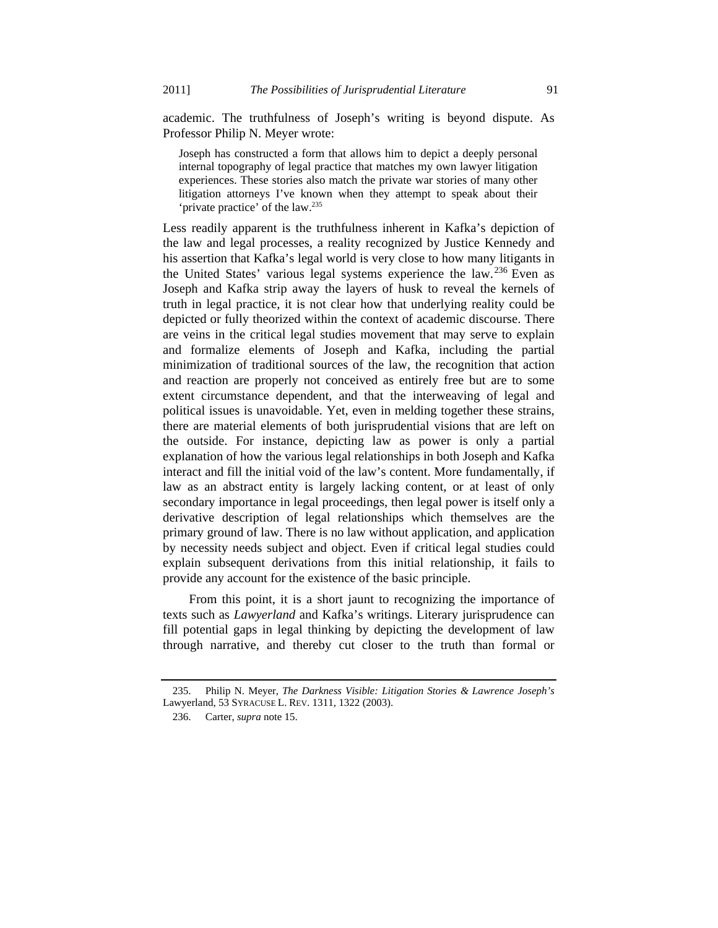academic. The truthfulness of Joseph's writing is beyond dispute. As Professor Philip N. Meyer wrote:

Joseph has constructed a form that allows him to depict a deeply personal internal topography of legal practice that matches my own lawyer litigation experiences. These stories also match the private war stories of many other litigation attorneys I've known when they attempt to speak about their 'private practice' of the law.235

Less readily apparent is the truthfulness inherent in Kafka's depiction of the law and legal processes, a reality recognized by Justice Kennedy and his assertion that Kafka's legal world is very close to how many litigants in the United States' various legal systems experience the law.236 Even as Joseph and Kafka strip away the layers of husk to reveal the kernels of truth in legal practice, it is not clear how that underlying reality could be depicted or fully theorized within the context of academic discourse. There are veins in the critical legal studies movement that may serve to explain and formalize elements of Joseph and Kafka, including the partial minimization of traditional sources of the law, the recognition that action and reaction are properly not conceived as entirely free but are to some extent circumstance dependent, and that the interweaving of legal and political issues is unavoidable. Yet, even in melding together these strains, there are material elements of both jurisprudential visions that are left on the outside. For instance, depicting law as power is only a partial explanation of how the various legal relationships in both Joseph and Kafka interact and fill the initial void of the law's content. More fundamentally, if law as an abstract entity is largely lacking content, or at least of only secondary importance in legal proceedings, then legal power is itself only a derivative description of legal relationships which themselves are the primary ground of law. There is no law without application, and application by necessity needs subject and object. Even if critical legal studies could explain subsequent derivations from this initial relationship, it fails to provide any account for the existence of the basic principle.

From this point, it is a short jaunt to recognizing the importance of texts such as *Lawyerland* and Kafka's writings. Literary jurisprudence can fill potential gaps in legal thinking by depicting the development of law through narrative, and thereby cut closer to the truth than formal or

 <sup>235.</sup> Philip N. Meyer, *The Darkness Visible: Litigation Stories & Lawrence Joseph's*  Lawyerland, 53 SYRACUSE L. REV. 1311, 1322 (2003).

 <sup>236.</sup> Carter, *supra* note 15.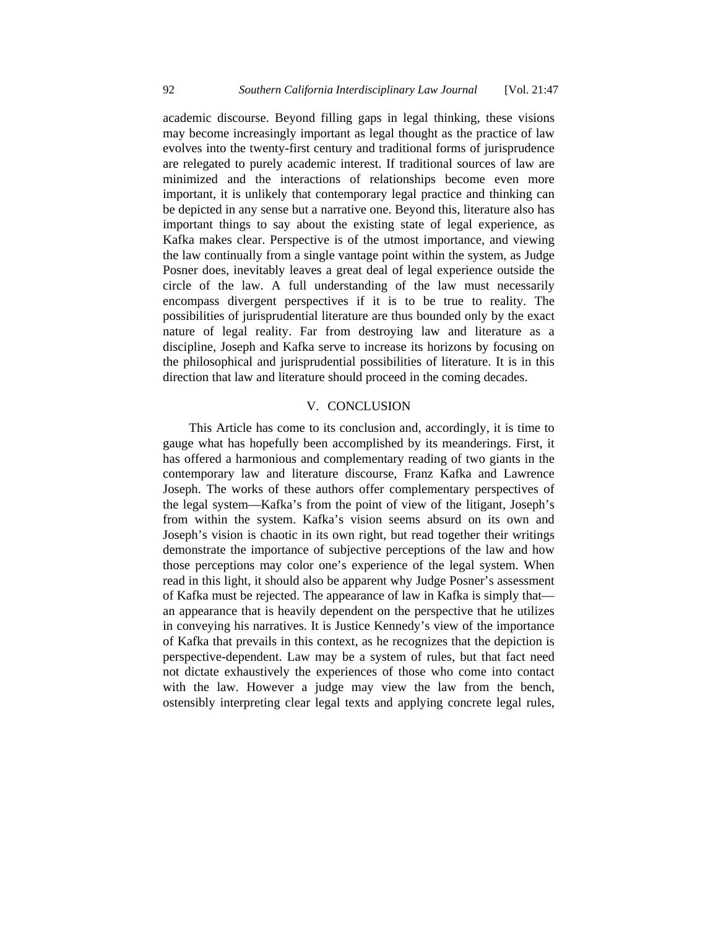academic discourse. Beyond filling gaps in legal thinking, these visions may become increasingly important as legal thought as the practice of law evolves into the twenty-first century and traditional forms of jurisprudence are relegated to purely academic interest. If traditional sources of law are minimized and the interactions of relationships become even more important, it is unlikely that contemporary legal practice and thinking can be depicted in any sense but a narrative one. Beyond this, literature also has important things to say about the existing state of legal experience, as Kafka makes clear. Perspective is of the utmost importance, and viewing the law continually from a single vantage point within the system, as Judge Posner does, inevitably leaves a great deal of legal experience outside the circle of the law. A full understanding of the law must necessarily encompass divergent perspectives if it is to be true to reality. The possibilities of jurisprudential literature are thus bounded only by the exact nature of legal reality. Far from destroying law and literature as a discipline, Joseph and Kafka serve to increase its horizons by focusing on the philosophical and jurisprudential possibilities of literature. It is in this direction that law and literature should proceed in the coming decades.

### V. CONCLUSION

This Article has come to its conclusion and, accordingly, it is time to gauge what has hopefully been accomplished by its meanderings. First, it has offered a harmonious and complementary reading of two giants in the contemporary law and literature discourse, Franz Kafka and Lawrence Joseph. The works of these authors offer complementary perspectives of the legal system—Kafka's from the point of view of the litigant, Joseph's from within the system. Kafka's vision seems absurd on its own and Joseph's vision is chaotic in its own right, but read together their writings demonstrate the importance of subjective perceptions of the law and how those perceptions may color one's experience of the legal system. When read in this light, it should also be apparent why Judge Posner's assessment of Kafka must be rejected. The appearance of law in Kafka is simply that an appearance that is heavily dependent on the perspective that he utilizes in conveying his narratives. It is Justice Kennedy's view of the importance of Kafka that prevails in this context, as he recognizes that the depiction is perspective-dependent. Law may be a system of rules, but that fact need not dictate exhaustively the experiences of those who come into contact with the law. However a judge may view the law from the bench, ostensibly interpreting clear legal texts and applying concrete legal rules,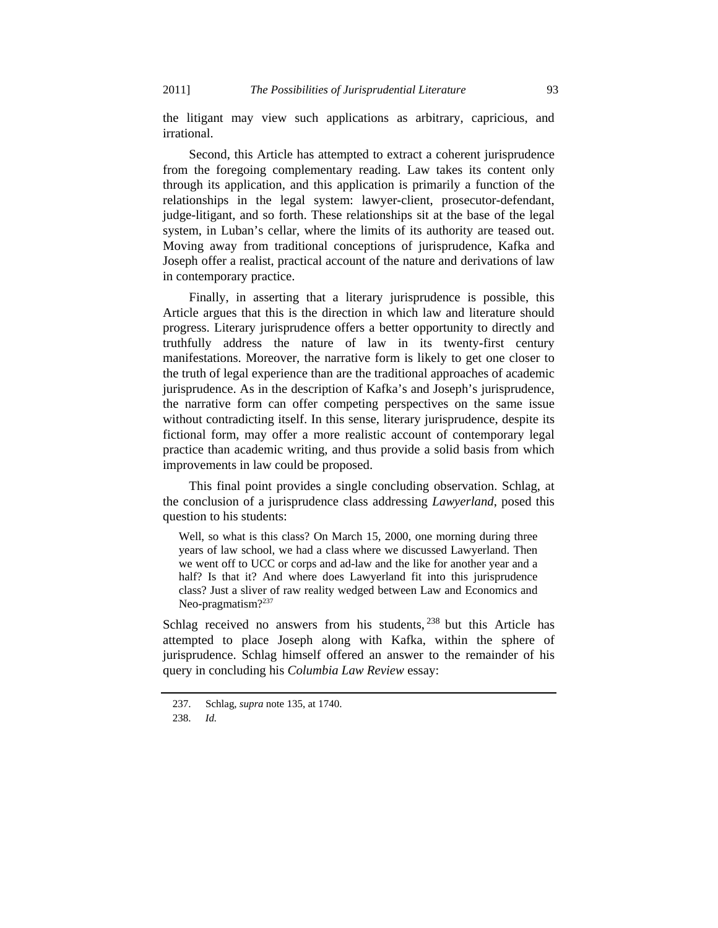the litigant may view such applications as arbitrary, capricious, and irrational.

Second, this Article has attempted to extract a coherent jurisprudence from the foregoing complementary reading. Law takes its content only through its application, and this application is primarily a function of the relationships in the legal system: lawyer-client, prosecutor-defendant, judge-litigant, and so forth. These relationships sit at the base of the legal system, in Luban's cellar, where the limits of its authority are teased out. Moving away from traditional conceptions of jurisprudence, Kafka and Joseph offer a realist, practical account of the nature and derivations of law in contemporary practice.

Finally, in asserting that a literary jurisprudence is possible, this Article argues that this is the direction in which law and literature should progress. Literary jurisprudence offers a better opportunity to directly and truthfully address the nature of law in its twenty-first century manifestations. Moreover, the narrative form is likely to get one closer to the truth of legal experience than are the traditional approaches of academic jurisprudence. As in the description of Kafka's and Joseph's jurisprudence, the narrative form can offer competing perspectives on the same issue without contradicting itself. In this sense, literary jurisprudence, despite its fictional form, may offer a more realistic account of contemporary legal practice than academic writing, and thus provide a solid basis from which improvements in law could be proposed.

This final point provides a single concluding observation. Schlag, at the conclusion of a jurisprudence class addressing *Lawyerland*, posed this question to his students:

Well, so what is this class? On March 15, 2000, one morning during three years of law school, we had a class where we discussed Lawyerland. Then we went off to UCC or corps and ad-law and the like for another year and a half? Is that it? And where does Lawyerland fit into this jurisprudence class? Just a sliver of raw reality wedged between Law and Economics and Neo-pragmatism $?^{237}$ 

Schlag received no answers from his students,  $238$  but this Article has attempted to place Joseph along with Kafka, within the sphere of jurisprudence. Schlag himself offered an answer to the remainder of his query in concluding his *Columbia Law Review* essay:

 <sup>237.</sup> Schlag, *supra* note 135, at 1740.

 <sup>238.</sup> *Id.*